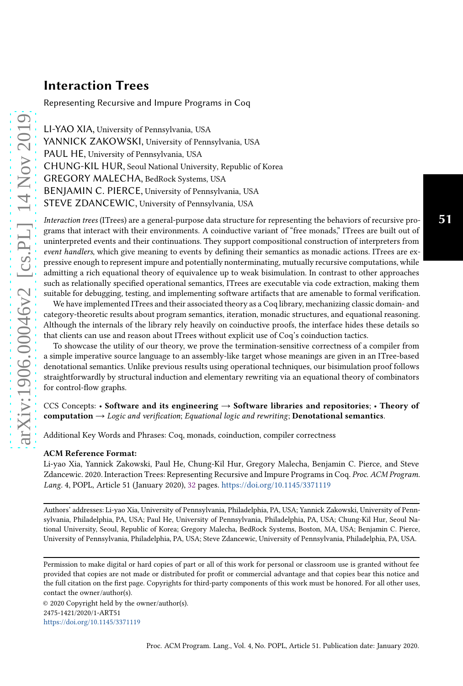# Interaction Trees

Representing Recursive and Impure Programs in Coq

LI-YAO XIA, University of Pennsylvania, USA YANNICK ZAKOWSKI, University of Pennsylvania, USA PAUL HE, University of Pennsylvania, USA CHUNG-KIL HUR, Seoul National University, Republic of Korea GREGORY MALECHA, BedRock Systems, USA BENJAMIN C. PIERCE, University of Pennsylvania, USA STEVE ZDANCEWIC, University of Pennsylvania, USA

Interaction trees (ITrees) are a general-purpose data structure for representing the behaviors of recursive programs that interact with their environments. A coinductive variant of "free monads," ITrees are built out of uninterpreted events and their continuations. They support compositional construction of interpreters from event handlers, which give meaning to events by defining their semantics as monadic actions. ITrees are expressive enough to represent impure and potentially nonterminating, mutually recursive computations, while admitting a rich equational theory of equivalence up to weak bisimulation. In contrast to other approaches such as relationally specified operational semantics, ITrees are executable via code extraction, making them suitable for debugging, testing, and implementing software artifacts that are amenable to formal verification. 51

We have implemented ITrees and their associated theory as a Coq library, mechanizing classic domain- and category-theoretic results about program semantics, iteration, monadic structures, and equational reasoning. Although the internals of the library rely heavily on coinductive proofs, the interface hides these details so that clients can use and reason about ITrees without explicit use of Coq's coinduction tactics.

To showcase the utility of our theory, we prove the termination-sensitive correctness of a compiler from a simple imperative source language to an assembly-like target whose meanings are given in an ITree-based denotational semantics. Unlike previous results using operational techniques, our bisimulation proof follows straightforwardly by structural induction and elementary rewriting via an equational theory of combinators for control-flow graphs.

CCS Concepts: • Software and its engineering  $\rightarrow$  Software libraries and repositories; • Theory of computation  $\rightarrow$  Logic and verification; Equational logic and rewriting; Denotational semantics.

Additional Key Words and Phrases: Coq, monads, coinduction, compiler correctness

#### ACM Reference Format:

Li-yao Xia, Yannick Zakowski, Paul He, Chung-Kil Hur, Gregory Malecha, Benjamin C. Pierce, and Steve Zdancewic. 2020. Interaction Trees: Representing Recursive and Impure Programs in Coq. Proc. ACM Program. Lang. 4, POPL, Article 51 (January 2020), [32](#page-31-0) pages. <https://doi.org/10.1145/3371119>

Authors' addresses: Li-yao Xia, University of Pennsylvania, Philadelphia, PA, USA; Yannick Zakowski, University of Pennsylvania, Philadelphia, PA, USA; Paul He, University of Pennsylvania, Philadelphia, PA, USA; Chung-Kil Hur, Seoul National University, Seoul, Republic of Korea; Gregory Malecha, BedRock Systems, Boston, MA, USA; Benjamin C. Pierce, University of Pennsylvania, Philadelphia, PA, USA; Steve Zdancewic, University of Pennsylvania, Philadelphia, PA, USA.

Permission to make digital or hard copies of part or all of this work for personal or classroom use is granted without fee provided that copies are not made or distributed for profit or commercial advantage and that copies bear this notice and the full citation on the first page. Copyrights for third-party components of this work must be honored. For all other uses, contact the owner/author(s).

© 2020 Copyright held by the owner/author(s). 2475-1421/2020/1-ART51 <https://doi.org/10.1145/3371119>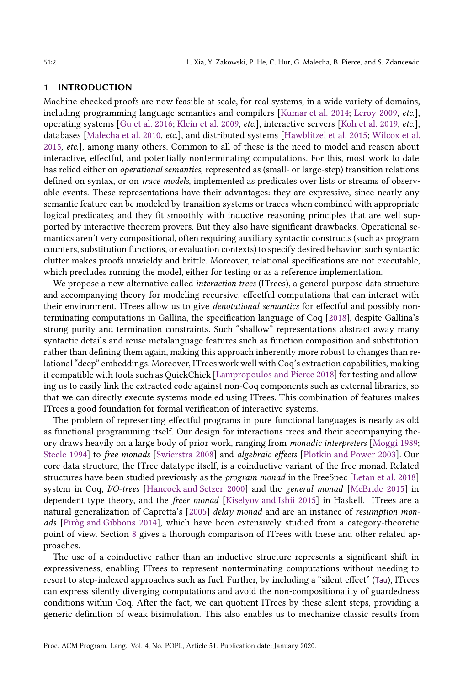### 1 INTRODUCTION

Machine-checked proofs are now feasible at scale, for real systems, in a wide variety of domains, including programming language semantics and compilers [\[Kumar et al. 2014](#page-30-0); [Leroy 2009](#page-30-1), etc.], operating systems [\[Gu et al. 2016](#page-29-0); [Klein et al. 2009,](#page-29-1) etc.], interactive servers [\[Koh et al. 2019,](#page-29-2) etc.], databases [\[Malecha et al. 2010,](#page-30-2) etc.], and distributed systems [\[Hawblitzel et al. 2015;](#page-29-3) [Wilcox et al.](#page-31-1) [2015,](#page-31-1) etc.], among many others. Common to all of these is the need to model and reason about interactive, effectful, and potentially nonterminating computations. For this, most work to date has relied either on operational semantics, represented as (small- or large-step) transition relations defined on syntax, or on trace models, implemented as predicates over lists or streams of observable events. These representations have their advantages: they are expressive, since nearly any semantic feature can be modeled by transition systems or traces when combined with appropriate logical predicates; and they fit smoothly with inductive reasoning principles that are well supported by interactive theorem provers. But they also have significant drawbacks. Operational semantics aren't very compositional, often requiring auxiliary syntactic constructs (such as program counters, substitution functions, or evaluation contexts) to specify desired behavior; such syntactic clutter makes proofs unwieldy and brittle. Moreover, relational specifications are not executable, which precludes running the model, either for testing or as a reference implementation.

We propose a new alternative called *interaction trees* (ITrees), a general-purpose data structure and accompanying theory for modeling recursive, effectful computations that can interact with their environment. ITrees allow us to give denotational semantics for effectful and possibly nonterminating computations in Gallina, the specification language of Coq [\[2018\]](#page-30-3), despite Gallina's strong purity and termination constraints. Such "shallow" representations abstract away many syntactic details and reuse metalanguage features such as function composition and substitution rather than defining them again, making this approach inherently more robust to changes than relational "deep" embeddings. Moreover, ITrees work well with Coq's extraction capabilities, making it compatible with tools such as QuickChick [\[Lampropoulos and Pierce 2018\]](#page-30-4) for testing and allowing us to easily link the extracted code against non-Coq components such as external libraries, so that we can directly execute systems modeled using ITrees. This combination of features makes ITrees a good foundation for formal verification of interactive systems.

The problem of representing effectful programs in pure functional languages is nearly as old as functional programming itself. Our design for interactions trees and their accompanying theory draws heavily on a large body of prior work, ranging from monadic interpreters [\[Moggi 1989;](#page-30-5) [Steele 1994\]](#page-31-2) to free monads [\[Swierstra 2008](#page-31-3)] and algebraic effects [\[Plotkin and Power 2003\]](#page-31-4). Our core data structure, the ITree datatype itself, is a coinductive variant of the free monad. Related structures have been studied previously as the *program monad* in the FreeSpec [\[Letan et al. 2018\]](#page-30-6) system in Coq, I/O-trees [\[Hancock and Setzer 2000](#page-29-4)] and the general monad [\[McBride 2015\]](#page-30-7) in dependent type theory, and the freer monad [\[Kiselyov and Ishii 2015\]](#page-29-5) in Haskell. ITrees are a natural generalization of Capretta's  $[2005]$  delay monad and are an instance of resumption monads [\[Piròg and Gibbons 2014\]](#page-30-8), which have been extensively studied from a category-theoretic point of view. Section [8](#page-22-0) gives a thorough comparison of ITrees with these and other related approaches.

The use of a coinductive rather than an inductive structure represents a significant shift in expressiveness, enabling ITrees to represent nonterminating computations without needing to resort to step-indexed approaches such as fuel. Further, by including a "silent effect" (Tau), ITrees can express silently diverging computations and avoid the non-compositionality of guardedness conditions within Coq. After the fact, we can quotient ITrees by these silent steps, providing a generic definition of weak bisimulation. This also enables us to mechanize classic results from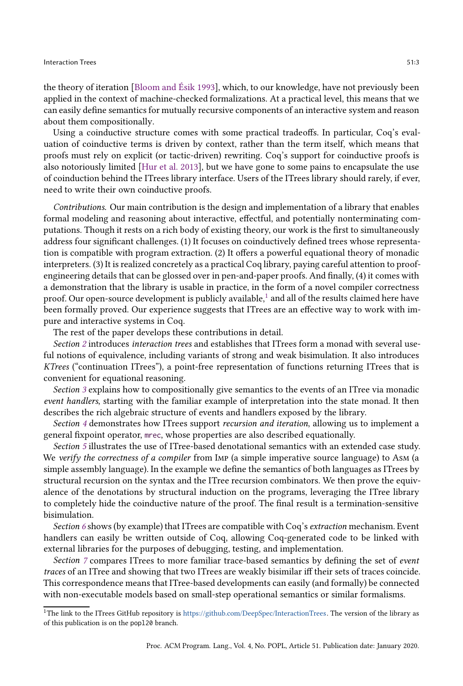the theory of iteration [\[Bloom and Ésik 1993\]](#page-28-1), which, to our knowledge, have not previously been applied in the context of machine-checked formalizations. At a practical level, this means that we can easily define semantics for mutually recursive components of an interactive system and reason about them compositionally.

Using a coinductive structure comes with some practical tradeoffs. In particular, Coq's evaluation of coinductive terms is driven by context, rather than the term itself, which means that proofs must rely on explicit (or tactic-driven) rewriting. Coq's support for coinductive proofs is also notoriously limited [\[Hur et al. 2013](#page-29-6)], but we have gone to some pains to encapsulate the use of coinduction behind the ITrees library interface. Users of the ITrees library should rarely, if ever, need to write their own coinductive proofs.

Contributions. Our main contribution is the design and implementation of a library that enables formal modeling and reasoning about interactive, effectful, and potentially nonterminating computations. Though it rests on a rich body of existing theory, our work is the first to simultaneously address four significant challenges. (1) It focuses on coinductively defined trees whose representation is compatible with program extraction. (2) It offers a powerful equational theory of monadic interpreters. (3) It is realized concretely as a practical Coq library, paying careful attention to proofengineering details that can be glossed over in pen-and-paper proofs. And finally, (4) it comes with a demonstration that the library is usable in practice, in the form of a novel compiler correctness proof. Our open-source development is publicly available,<sup>[1](#page-2-0)</sup> and all of the results claimed here have been formally proved. Our experience suggests that ITrees are an effective way to work with impure and interactive systems in Coq.

The rest of the paper develops these contributions in detail.

Section [2](#page-3-0) introduces interaction trees and establishes that ITrees form a monad with several useful notions of equivalence, including variants of strong and weak bisimulation. It also introduces KTrees ("continuation ITrees"), a point-free representation of functions returning ITrees that is convenient for equational reasoning.

Section [3](#page-8-0) explains how to compositionally give semantics to the events of an ITree via monadic event handlers, starting with the familiar example of interpretation into the state monad. It then describes the rich algebraic structure of events and handlers exposed by the library.

Section [4](#page-11-0) demonstrates how ITrees support recursion and iteration, allowing us to implement a general fixpoint operator, mrec, whose properties are also described equationally.

Section [5](#page-13-0) illustrates the use of ITree-based denotational semantics with an extended case study. We verify the correctness of a compiler from IMP (a simple imperative source language) to Asm (a simple assembly language). In the example we define the semantics of both languages as ITrees by structural recursion on the syntax and the ITree recursion combinators. We then prove the equivalence of the denotations by structural induction on the programs, leveraging the ITree library to completely hide the coinductive nature of the proof. The final result is a termination-sensitive bisimulation.

Section [6](#page-19-0) shows (by example) that ITrees are compatible with Coq's extraction mechanism. Event handlers can easily be written outside of Coq, allowing Coq-generated code to be linked with external libraries for the purposes of debugging, testing, and implementation.

Section [7](#page-20-0) compares ITrees to more familiar trace-based semantics by defining the set of event traces of an ITree and showing that two ITrees are weakly bisimilar iff their sets of traces coincide. This correspondence means that ITree-based developments can easily (and formally) be connected with non-executable models based on small-step operational semantics or similar formalisms.

<span id="page-2-0"></span> $1$ The link to the ITrees GitHub repository is [https://github.com/DeepSpec/InteractionTrees.](https://github.com/DeepSpec/InteractionTrees) The version of the library as of this publication is on the popl20 branch.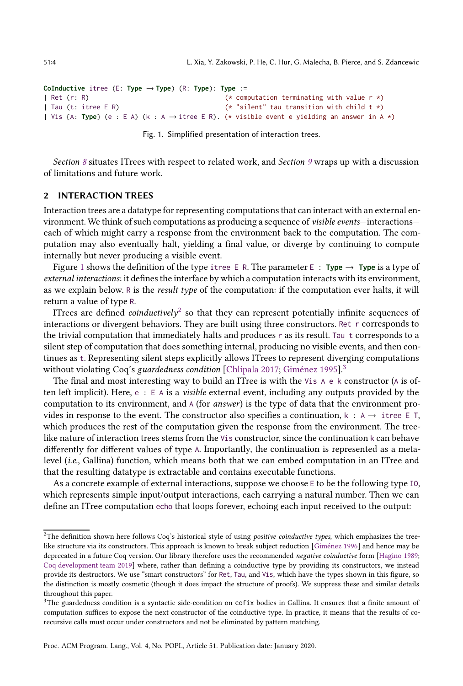```
CoInductive itree (E: Type → Type) (R: Type): Type :=
| Ret (r: R) (* computation terminating with value r *)
| Tau (t: itree E R) (* "silent" tau transition with child t *)
| Vis {A: Type} (e : E A) (k : A → itree E R). (* visible event e yielding an answer in A *)
```

```
Fig. 1. Simplified presentation of interaction trees.
```
Section [8](#page-22-0) situates ITrees with respect to related work, and Section [9](#page-27-0) wraps up with a discussion of limitations and future work.

#### <span id="page-3-0"></span>2 INTERACTION TREES

Interaction trees are a datatype for representing computationsthat can interact with an external environment. We think of such computations as producing a sequence of visible events—interactions each of which might carry a response from the environment back to the computation. The computation may also eventually halt, yielding a final value, or diverge by continuing to compute internally but never producing a visible event.

Figure [1](#page-3-1) shows the definition of the type itree E R. The parameter E : **Type**  $\rightarrow$  **Type** is a type of external interactions: it defines the interface by which a computation interacts with its environment, as we explain below. R is the result type of the computation: if the computation ever halts, it will return a value of type R.

ITrees are defined *coinductively* $^2$  $^2$  so that they can represent potentially infinite sequences of interactions or divergent behaviors. They are built using three constructors. Ret r corresponds to the trivial computation that immediately halts and produces r as its result. Tau t corresponds to a silent step of computation that does something internal, producing no visible events, and then continues as t. Representing silent steps explicitly allows ITrees to represent diverging computations without violating Coq's guardedness condition [\[Chlipala 2017;](#page-28-2) [Giménez 1995\]](#page-29-7).<sup>[3](#page-3-3)</sup>

The final and most interesting way to build an ITree is with the Vis  $A \in K$  constructor (A is often left implicit). Here,  $e : E A$  is a *visible* external event, including any outputs provided by the computation to its environment, and A (for answer) is the type of data that the environment provides in response to the event. The constructor also specifies a continuation,  $k : A \rightarrow \text{itree } E T$ , which produces the rest of the computation given the response from the environment. The treelike nature of interaction trees stems from the Vis constructor, since the continuation k can behave differently for different values of type A. Importantly, the continuation is represented as a metalevel (i.e., Gallina) function, which means both that we can embed computation in an ITree and that the resulting datatype is extractable and contains executable functions.

As a concrete example of external interactions, suppose we choose E to be the following type IO, which represents simple input/output interactions, each carrying a natural number. Then we can define an ITree computation echo that loops forever, echoing each input received to the output:

<span id="page-3-2"></span><sup>&</sup>lt;sup>2</sup>The definition shown here follows Coq's historical style of using *positive coinductive types*, which emphasizes the treelike structure via its constructors. This approach is known to break subject reduction [\[Giménez 1996\]](#page-29-8) and hence may be deprecated in a future Coq version. Our library therefore uses the recommended negative coinductive form [\[Hagino 1989;](#page-29-9) [Coq development team 2019\]](#page-30-9) where, rather than defining a coinductive type by providing its constructors, we instead provide its destructors. We use "smart constructors" for Ret, Tau, and Vis, which have the types shown in this figure, so the distinction is mostly cosmetic (though it does impact the structure of proofs). We suppress these and similar details throughout this paper.

<span id="page-3-3"></span> $3$ The guardedness condition is a syntactic side-condition on cofix bodies in Gallina. It ensures that a finite amount of computation suffices to expose the next constructor of the coinductive type. In practice, it means that the results of corecursive calls must occur under constructors and not be eliminated by pattern matching.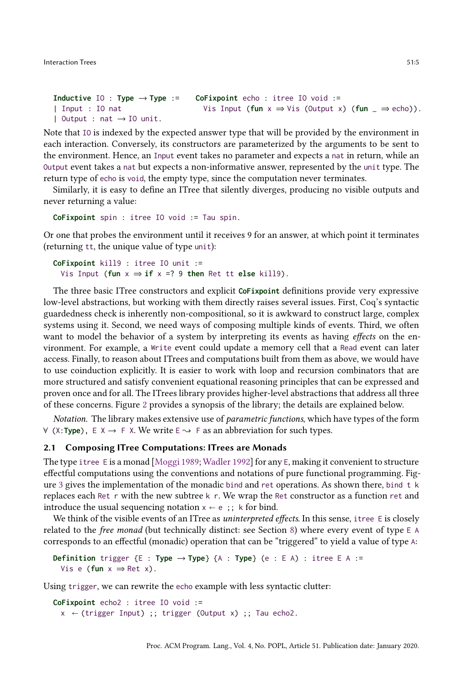```
Inductive IO : Type \rightarrow Type :=
| Input : IO nat
| Output : nat \rightarrow IO unit.
                                        CoFixpoint echo : itree IO void :=
                                          Vis Input (fun x \Rightarrow Vis (Output x) (fun \Rightarrow echo)).
```
Note that IO is indexed by the expected answer type that will be provided by the environment in each interaction. Conversely, its constructors are parameterized by the arguments to be sent to the environment. Hence, an Input event takes no parameter and expects a nat in return, while an Output event takes a nat but expects a non-informative answer, represented by the unit type. The return type of echo is void, the empty type, since the computation never terminates.

Similarly, it is easy to define an ITree that silently diverges, producing no visible outputs and never returning a value:

```
CoFixpoint spin : itree IO void := Tau spin.
```
Or one that probes the environment until it receives 9 for an answer, at which point it terminates (returning tt, the unique value of type unit):

```
CoFixpoint kill9 : itree IO unit :=
  Vis Input (fun x \Rightarrow if x = ? 9 then Ret tt else kill9).
```
The three basic ITree constructors and explicit **CoFixpoint** definitions provide very expressive low-level abstractions, but working with them directly raises several issues. First, Coq's syntactic guardedness check is inherently non-compositional, so it is awkward to construct large, complex systems using it. Second, we need ways of composing multiple kinds of events. Third, we often want to model the behavior of a system by interpreting its events as having effects on the environment. For example, a Write event could update a memory cell that a Read event can later access. Finally, to reason about ITrees and computations built from them as above, we would have to use coinduction explicitly. It is easier to work with loop and recursion combinators that are more structured and satisfy convenient equational reasoning principles that can be expressed and proven once and for all. The ITrees library provides higher-level abstractions that address all three of these concerns. Figure [2](#page-5-0) provides a synopsis of the library; the details are explained below.

Notation. The library makes extensive use of *parametric functions*, which have types of the form  $∀$  (X:**Type**),  $E X \rightarrow F X$ . We write  $E \rightarrow F$  as an abbreviation for such types.

# 2.1 Composing ITree Computations: ITrees are Monads

The type itree E is a monad [\[Moggi 1989;](#page-30-5) [Wadler 1992\]](#page-31-5) for any E, making it convenient to structure effectful computations using the conventions and notations of pure functional programming. Figure [3](#page-5-1) gives the implementation of the monadic bind and ret operations. As shown there, bind t k replaces each Ret r with the new subtree k r. We wrap the Ret constructor as a function ret and introduce the usual sequencing notation  $x \leftarrow e$ ;; k for bind.

We think of the visible events of an ITree as uninterpreted effects. In this sense, it ree  $E$  is closely related to the free monad (but technically distinct: see Section [8\)](#page-22-0) where every event of type E A corresponds to an effectful (monadic) operation that can be "triggered" to yield a value of type A:

**Definition** trigger {E : **Type** → **Type**} {A : **Type**} (e : E A) : itree E A := Vis e ( $fun x \Rightarrow Ret x$ ).

Using trigger, we can rewrite the echo example with less syntactic clutter:

**CoFixpoint** echo2 : itree IO void :=  $x \leftarrow$  (trigger Input) ;; trigger (Output x) ;; Tau echo2.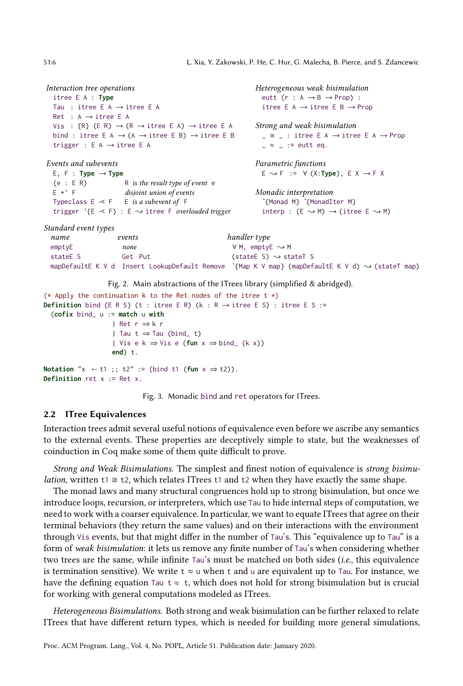```
Interaction tree operations
  itree E A : Type
  Tau : itree E A \rightarrow itree E A
  Ret : A → itree E A
  Vis : \{R\} (E R) \rightarrow (R \rightarrow itree E A) \rightarrow itree E A
  bind : itree E A \rightarrow (A \rightarrow itree E B) \rightarrow itree E B
  trigger : E A → itree E A
Events and subevents
  E, F : Type \rightarrow Type(e : E R) R is the result type of event e
  E +' F disjoint union of events
  Typeclass E \prec F E is a subevent of Ftrigger '{E -< F} : E \rightsquigarrow itree F overloaded trigger
                                                                 Heterogeneous weak bisimulation
                                                                   eutt (r : A \rightarrow B \rightarrow Prop) :
                                                                    itree E A \rightarrow itree E B \rightarrow Prop
                                                                 Strong and weak bisimulation
                                                                   \angle \cong \angle : itree E A \rightarrow itree E A \rightarrow Prop
                                                                    z \approx 2: = eutt eq.
                                                                 Parametric functions
                                                                   E { F := ∀ (X:Type), E X → F X
                                                                 Monadic interpretation
                                                                    ˋ{Monad M} ˋ{MonadIter M}
                                                                   interp : (E \rightsquigarrow M) \rightarrow (itree E \rightsquigarrow M)Standard event types
  name events handler type
  \epsilon emptyE \rightarrow M none \forall M, emptyE \rightarrow M
  stateE S Get Put \qquad \qquad (stateE S) \rightsquigarrow stateT S
 mapDefaultE K V d Insert LookupDefault Remove `{Map K V map} (mapDefaultE K V d) \rightsquigarrow (stateT map)
                    Fig. 2. Main abstractions of the ITrees library (simplified & abridged).
(* Apply the continuation k to the Ret nodes of the itree t \star)
Definition bind {E R S} (t : itree E R) (k : R \rightarrow itree E S) : itree E S :=
  (cofix bind_ u := match u with
                     | Ret r ⇒ k r
                     | Tau t \Rightarrow Tau (bind_ t)
                     | Vis e k ⇒ Vis e (fun x ⇒ bind_ (k x))
                     end) t.
Notation "x \leftarrow t1;; t2" := (bind t1 (fun x \Rightarrow t2)).
```

```
Definition ret x := Ret x.
```
Fig. 3. Monadic bind and ret operators for ITrees.

#### 2.2 ITree Equivalences

Interaction trees admit several useful notions of equivalence even before we ascribe any semantics to the external events. These properties are deceptively simple to state, but the weaknesses of coinduction in Coq make some of them quite difficult to prove.

Strong and Weak Bisimulations. The simplest and finest notion of equivalence is strong bisimu*lation*, written t1  $\cong$  t2, which relates ITrees t1 and t2 when they have exactly the same shape.

The monad laws and many structural congruences hold up to strong bisimulation, but once we introduce loops, recursion, or interpreters, which use Tau to hide internal steps of computation, we need to work with a coarser equivalence. In particular, we want to equate ITrees that agree on their terminal behaviors (they return the same values) and on their interactions with the environment through Vis events, but that might differ in the number of Tau's. This "equivalence up to Tau" is a form of weak bisimulation: it lets us remove any finite number of Tau's when considering whether two trees are the same, while infinite Tau's must be matched on both sides (i.e., this equivalence is termination sensitive). We write  $t \approx u$  when t and u are equivalent up to Tau. For instance, we have the defining equation Tau t  $\approx$  t, which does not hold for strong bisimulation but is crucial for working with general computations modeled as ITrees.

Heterogeneous Bisimulations. Both strong and weak bisimulation can be further relaxed to relate ITrees that have different return types, which is needed for building more general simulations,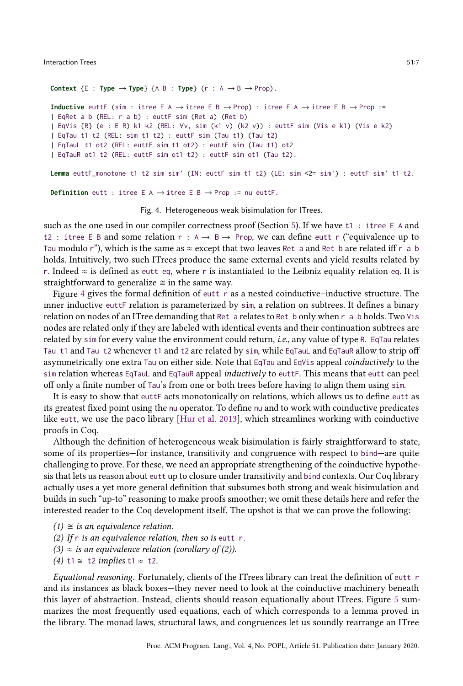```
Context {E : Type \rightarrow Type} {A B : Type} (r : A \rightarrow B \rightarrow Prop).
```

```
Inductive euttF (sim : itree E A \rightarrow itree E B \rightarrow Prop) : itree E A \rightarrow itree E B \rightarrow Prop :=
| EqRet a b (REL: r a b) : euttF sim (Ret a) (Ret b)
| EqVis {R} (e : E R) k1 k2 (REL: ∀v, sim (k1 v) (k2 v)) : euttF sim (Vis e k1) (Vis e k2)
| EqTau t1 t2 (REL: sim t1 t2) : euttF sim (Tau t1) (Tau t2)
| EqTauL t1 ot2 (REL: euttF sim t1 ot2) : euttF sim (Tau t1) ot2
| EqTauR ot1 t2 (REL: euttF sim ot1 t2) : euttF sim ot1 (Tau t2).
```

```
Lemma euttF_monotone t1 t2 sim sim' (IN: euttF sim t1 t2) (LE: sim <2= sim') : euttF sim' t1 t2.
```
**Definition** eutt : itree E A  $\rightarrow$  itree E B  $\rightarrow$  Prop := nu euttF.

Fig. 4. Heterogeneous weak bisimulation for ITrees.

such as the one used in our compiler correctness proof (Section [5\)](#page-13-0). If we have t1 : itree E A and t2 : itree E B and some relation  $r : A \rightarrow B \rightarrow Prop$ , we can define eutt r ("equivalence up to Tau modulo r"), which is the same as  $\approx$  except that two leaves Ret a and Ret b are related iff r a b holds. Intuitively, two such ITrees produce the same external events and yield results related by r. Indeed  $\approx$  is defined as eutt eq, where r is instantiated to the Leibniz equality relation eq. It is straightforward to generalize  $\cong$  in the same way.

Figure [4](#page-6-0) gives the formal definition of eutt r as a nested coinductive–inductive structure. The inner inductive euttF relation is parameterized by sim, a relation on subtrees. It defines a binary relation on nodes of an ITree demanding that Ret a relates to Ret b only when r a b holds. Two Vis nodes are related only if they are labeled with identical events and their continuation subtrees are related by sim for every value the environment could return, i.e., any value of type R. EqTau relates Tau t1 and Tau t2 whenever t1 and t2 are related by sim, while EqTauL and EqTauR allow to strip off asymmetrically one extra Tau on either side. Note that EqTau and EqVis appeal *coinductively* to the sim relation whereas EqTauL and EqTauR appeal *inductively* to euttF. This means that eutt can peel off only a finite number of Tau's from one or both trees before having to align them using sim.

It is easy to show that euttF acts monotonically on relations, which allows us to define eutt as its greatest fixed point using the nu operator. To define nu and to work with coinductive predicates like eutt, we use the paco library [\[Hur et al. 2013\]](#page-29-6), which streamlines working with coinductive proofs in Coq.

Although the definition of heterogeneous weak bisimulation is fairly straightforward to state, some of its properties—for instance, transitivity and congruence with respect to bind—are quite challenging to prove. For these, we need an appropriate strengthening of the coinductive hypothesis that lets us reason about eutt up to closure under transitivity and bind contexts. Our Coq library actually uses a yet more general definition that subsumes both strong and weak bisimulation and builds in such "up-to" reasoning to make proofs smoother; we omit these details here and refer the interested reader to the Coq development itself. The upshot is that we can prove the following:

- $(1) \cong$  is an equivalence relation.
- (2) If  $r$  is an equivalence relation, then so is eutt  $r$ .
- $(3) \approx$  is an equivalence relation (corollary of (2)).
- (4) t1  $\cong$  t2 implies t1  $\approx$  t2.

Equational reasoning. Fortunately, clients of the ITrees library can treat the definition of eutt r and its instances as black boxes—they never need to look at the coinductive machinery beneath this layer of abstraction. Instead, clients should reason equationally about ITrees. Figure [5](#page-7-0) summarizes the most frequently used equations, each of which corresponds to a lemma proved in the library. The monad laws, structural laws, and congruences let us soundly rearrange an ITree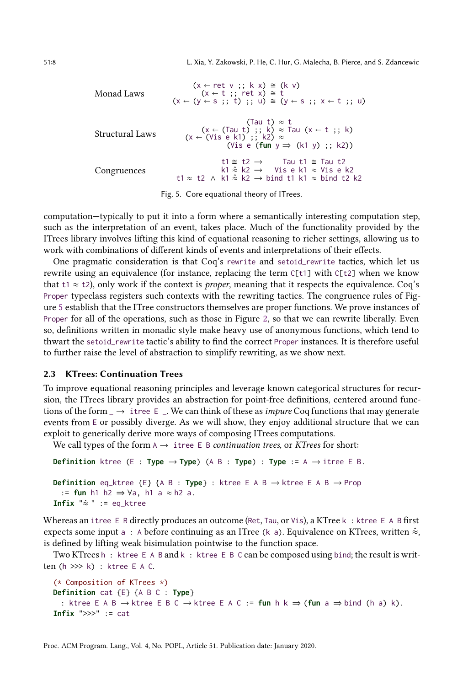<span id="page-7-0"></span>51:8 L. Xia, Y. Zakowski, P. He, C. Hur, G. Malecha, B. Pierce, and S. Zdancewic

| Monad Laws      | $(x \leftarrow \text{ret } v ;; k x) \cong (k v)$<br>$(x \leftarrow t ;; \text{ret } x) \cong t$<br>$(x \leftarrow (y \leftarrow s ;; t) ;; u) \approx (y \leftarrow s ;; x \leftarrow t ;; u)$     |
|-----------------|-----------------------------------------------------------------------------------------------------------------------------------------------------------------------------------------------------|
| Structural Laws | (Tau t) $\approx$ t<br>(x $\leftarrow$ (Tau t) ;; k) $\approx$ Tau (x $\leftarrow$ t ;; k)<br>$(x \leftarrow (Vis e k1) :: k2) \approx$<br>(Vis e (fun $y \Rightarrow (k1 y)$ ; k2))                |
| Congruences     | t1 $\cong$ t2 $\rightarrow$ Tau t1 $\cong$ Tau t2<br>$k1 \approx k2 \rightarrow$ Vise k1 $\approx$ Vise k2<br>t1 $\approx$ t2 $\land$ k1 $\approx$ k2 $\rightarrow$ bind t1 k1 $\approx$ bind t2 k2 |

Fig. 5. Core equational theory of ITrees.

computation—typically to put it into a form where a semantically interesting computation step, such as the interpretation of an event, takes place. Much of the functionality provided by the ITrees library involves lifting this kind of equational reasoning to richer settings, allowing us to work with combinations of different kinds of events and interpretations of their effects.

One pragmatic consideration is that Coq's rewrite and setoid\_rewrite tactics, which let us rewrite using an equivalence (for instance, replacing the term C[t1] with C[t2] when we know that t1  $\approx$  t2), only work if the context is *proper*, meaning that it respects the equivalence. Coq's Proper typeclass registers such contexts with the rewriting tactics. The congruence rules of Figure [5](#page-7-0) establish that the ITree constructors themselves are proper functions. We prove instances of Proper for all of the operations, such as those in Figure [2,](#page-5-0) so that we can rewrite liberally. Even so, definitions written in monadic style make heavy use of anonymous functions, which tend to thwart the setoid\_rewrite tactic's ability to find the correct Proper instances. It is therefore useful to further raise the level of abstraction to simplify rewriting, as we show next.

# <span id="page-7-1"></span>2.3 KTrees: Continuation Trees

To improve equational reasoning principles and leverage known categorical structures for recursion, the ITrees library provides an abstraction for point-free definitions, centered around functions of the form  $\rightarrow$  itree E  $\rightarrow$ . We can think of these as *impure* Coq functions that may generate events from E or possibly diverge. As we will show, they enjoy additional structure that we can exploit to generically derive more ways of composing ITrees computations.

We call types of the form  $A \rightarrow$  itree E B continuation trees, or KTrees for short:

**Definition** ktree (E : **Type**  $\rightarrow$  **Type**) (A B : **Type**) : **Type** := A  $\rightarrow$  itree E B.

```
Definition eq_ktree {E} {A B : Type} : ktree E A B → ktree E A B → Prop
  := fun h1 h2 ⇒ ∀a, h1 a ≈ h2 a.
Infix "\hat{\approx} " := eq_ktree
```
Whereas an itree E R directly produces an outcome (Ret, Tau, or Vis), a KTree k : ktree E A B first expects some input a : A before continuing as an ITree (k a). Equivalence on KTrees, written  $\hat{\approx}$ , is defined by lifting weak bisimulation pointwise to the function space.

Two KTrees h: ktree E A B and k: ktree E B C can be composed using bind; the result is written (h >>> k) : ktree E A C.

```
(* Composition of KTrees *)
Definition cat {E} {A B C : Type}
  : ktree E A B → ktree E B C → ktree E A C := fun h k ⇒ (fun a ⇒ bind (h a) k).
Infix ">>>" := cat
```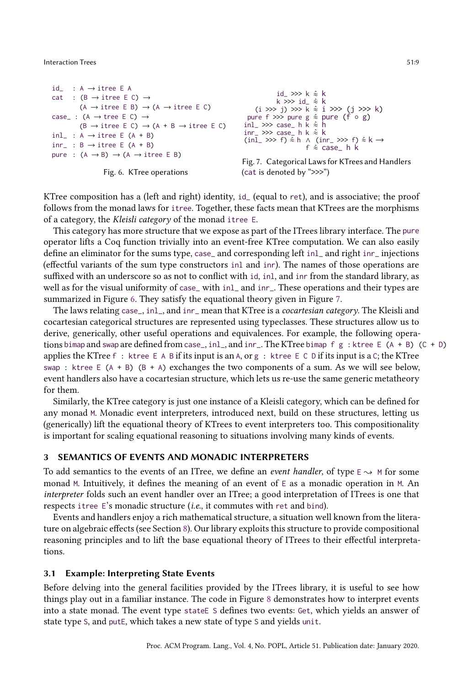```
id_ : A \rightarrow itree E A
cat : (B \rightarrow itree E C) \rightarrow(A \rightarrow itree E B) \rightarrow (A \rightarrow itree E C)
case_+: (A \rightarrow tree E C) \rightarrow(B \rightarrow itree E C) \rightarrow (A + B \rightarrow itree E C)
inl_ : A \rightarrow itree E (A + B)
inv_ : B \rightarrow itree E (A + B)
pure : (A \rightarrow B) \rightarrow (A \rightarrow itree \text{ E } B)
```


```
id >> k \hat{=} kk >>> id_ \hat{\approx} k
     (i \gg j) \gg k \approx i \gg (j \gg k)pure f >>> pure g \hat{\approx} pure (f \circ g)
inl_{-} \gg > case_ h \breve{k} \hat{\approx} \hat{h}inv_ >>> case_ h k \hat{\approx} k
(inl_ >>> f) \hat{\approx} h ∧ (inr_ >>> f) \hat{\approx} k →<br>f \hat{\approx} case_ h k
```

```
Fig. 7. Categorical Laws for KTrees and Handlers
(cat is denoted by ">>>")
```
KTree composition has a (left and right) identity, id\_ (equal to ret), and is associative; the proof follows from the monad laws for itree. Together, these facts mean that KTrees are the morphisms of a category, the Kleisli category of the monad itree E.

This category has more structure that we expose as part of the ITrees library interface. The pure operator lifts a Coq function trivially into an event-free KTree computation. We can also easily define an eliminator for the sums type, case\_ and corresponding left inl\_ and right inr\_ injections (effectful variants of the sum type constructors inl and inr). The names of those operations are suffixed with an underscore so as not to conflict with id, inl, and inr from the standard library, as well as for the visual uniformity of case\_ with inl\_ and inr\_. These operations and their types are summarized in Figure [6.](#page-8-1) They satisfy the equational theory given in Figure [7.](#page-8-1)

The laws relating case\_, inl\_, and inr\_ mean that KTree is a cocartesian category. The Kleisli and cocartesian categorical structures are represented using typeclasses. These structures allow us to derive, generically, other useful operations and equivalences. For example, the following operations bimap and swap are defined from case<sub>-</sub>, inl<sub>-</sub>, and inr<sub>-</sub>. The KTree bimap f g : ktree E (A + B) (C + D) applies the KTree  $f :$  ktree  $E \wedge B$  if its input is an A, or g : ktree  $E \cap D$  if its input is a C; the KTree swap : ktree E  $(A + B)$   $(B + A)$  exchanges the two components of a sum. As we will see below, event handlers also have a cocartesian structure, which lets us re-use the same generic metatheory for them.

Similarly, the KTree category is just one instance of a Kleisli category, which can be defined for any monad M. Monadic event interpreters, introduced next, build on these structures, letting us (generically) lift the equational theory of KTrees to event interpreters too. This compositionality is important for scaling equational reasoning to situations involving many kinds of events.

# <span id="page-8-0"></span>3 SEMANTICS OF EVENTS AND MONADIC INTERPRETERS

To add semantics to the events of an ITree, we define an *event handler*, of type  $\epsilon \rightarrow M$  for some monad M. Intuitively, it defines the meaning of an event of E as a monadic operation in M. An interpreter folds such an event handler over an ITree; a good interpretation of ITrees is one that respects itree E's monadic structure (i.e., it commutes with ret and bind).

Events and handlers enjoy a rich mathematical structure, a situation well known from the literature on algebraic effects (see Section [8\)](#page-22-0). Our library exploits this structure to provide compositional reasoning principles and to lift the base equational theory of ITrees to their effectful interpretations.

# <span id="page-8-2"></span>3.1 Example: Interpreting State Events

Before delving into the general facilities provided by the ITrees library, it is useful to see how things play out in a familiar instance. The code in Figure [8](#page-9-0) demonstrates how to interpret events into a state monad. The event type stateE S defines two events: Get, which yields an answer of state type S, and putE, which takes a new state of type S and yields unit.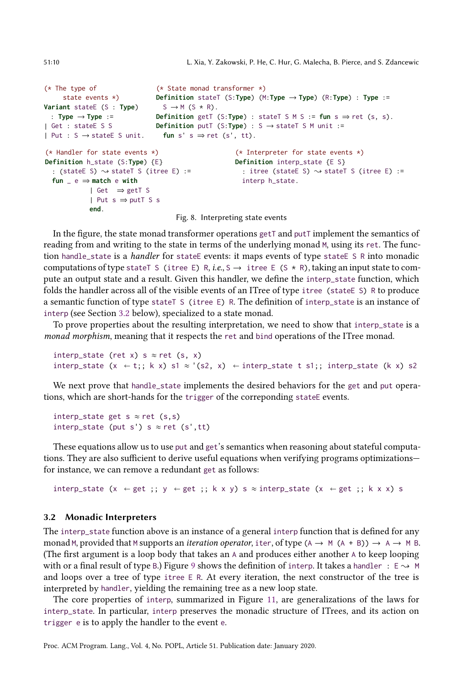```
(* The type of
    state events *)
Variant stateE (S : Type)
 : Type → Type :=
| Get : stateE S S
| Put : S → stateE S unit.
                              (* State monad transformer *)
                            Definition stateT (S:Type) (M:Type → Type) (R:Type) : Type :=
                              S \rightarrow M (S \star R).
                            Definition getT (S:Type) : stateT S M S := fun s \Rightarrow ret (s, s).
                            Definition putT (S:Type) : S → stateT S M unit :=
                               fun s' s \Rightarrow ret (s', tt).
(* Handler for state events *)
Definition h_state (S:Type) {E}
  : (stateE S) \rightsquigarrow stateT S (itree E) :=
  fun _ e ⇒ match e with
            | Get ⇒ getT S
            | Put s ⇒ putT S s
            end.
                                                    (* Interpreter for state events *)
                                                   Definition interp_state {E S}
                                                    : itree (stateE S) \rightsquigarrow stateT S (itree E) :=
                                                    interp h_state.
```
Fig. 8. Interpreting state events

In the figure, the state monad transformer operations getT and putT implement the semantics of reading from and writing to the state in terms of the underlying monad M, using its ret. The function handle\_state is a handler for stateE events: it maps events of type stateE S R into monadic computations of type stateT S (itree E) R, i.e., S  $\rightarrow$  itree E (S  $\star$  R), taking an input state to compute an output state and a result. Given this handler, we define the interp\_state function, which folds the handler across all of the visible events of an ITree of type itree (stateE S) R to produce a semantic function of type stateT S (itree E) R. The definition of interp\_state is an instance of interp (see Section [3.2](#page-9-1) below), specialized to a state monad.

To prove properties about the resulting interpretation, we need to show that interp\_state is a monad morphism, meaning that it respects the ret and bind operations of the ITree monad.

interp\_state (ret x) s  $\approx$  ret (s, x) interp\_state (x  $\leftarrow$  t;; k x) s1  $\approx$  '(s2, x)  $\leftarrow$  interp\_state t s1;; interp\_state (k x) s2

We next prove that handle\_state implements the desired behaviors for the get and put operations, which are short-hands for the trigger of the correponding state events.

interp\_state get s  $\approx$  ret (s,s) interp\_state (put s') s  $\approx$  ret (s',tt)

These equations allow us to use put and get's semantics when reasoning about stateful computations. They are also sufficient to derive useful equations when verifying programs optimizations for instance, we can remove a redundant get as follows:

interp\_state (x  $\leftarrow$  get ;; y  $\leftarrow$  get ;; k x y) s ≈ interp\_state (x  $\leftarrow$  get ;; k x x) s

#### <span id="page-9-1"></span>3.2 Monadic Interpreters

The interp\_state function above is an instance of a general interp function that is defined for any monad M, provided that M supports an *iteration operator*, iter, of type ( $A \rightarrow M (A + B)$ )  $\rightarrow A \rightarrow M B$ . (The first argument is a loop body that takes an A and produces either another A to keep looping with or a final result of type B.) Figure [9](#page-10-0) shows the definition of interp. It takes a handler :  $E \rightarrow M$ and loops over a tree of type itree E R. At every iteration, the next constructor of the tree is interpreted by handler, yielding the remaining tree as a new loop state.

The core properties of interp, summarized in Figure [11,](#page-10-1) are generalizations of the laws for interp\_state. In particular, interp preserves the monadic structure of ITrees, and its action on trigger e is to apply the handler to the event e.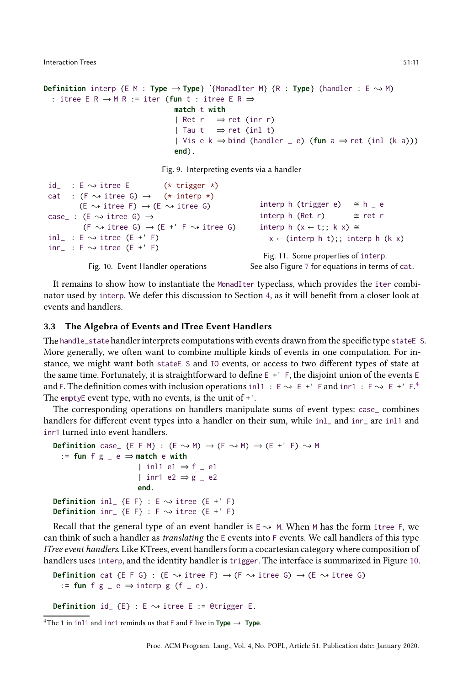```
Definition interp \{E \mid M : \textbf{Type} \rightarrow \textbf{Type}\} '{MonadIter M} \{R : \textbf{Type}\} (handler : E \rightsquigarrow M)
  : itree E R → M R := iter (fun t : itree E R ⇒
                                        match t with
                                        | Ret r \Rightarrow ret (inr r)
                                        | Tau t \Rightarrow ret (inl t)
                                        | Vis e k ⇒ bind (handler _ e) (fun a ⇒ ret (inl (k a)))
                                        end).
```
Fig. 9. Interpreting events via a handler

```
id : E \sim itree E (* trigger *)
cat : (F \rightsquigarrow itree G) \rightarrow (* interp *)
          (E \rightsquigarrow itree F) \rightarrow (E \rightsquigarrow itree G)
case_ : (E \rightsquigarrow itree G) \rightarrow(F \rightsquigarrow itree G) \rightarrow (E +' F \rightsquigarrow itree G)
inl_ : E \sim itree (E +' F)
inv_{-} : F \rightsquigarrow itree (E +' F)
             Fig. 10. Event Handler operations
                                                                      interp h (trigger e) \cong h _e e
                                                                      interp h (Ret r) \approx ret r
                                                                      interp h (x \leftarrow t; ; k x) \approxx \leftarrow (interp h t);; interp h (k x)
                                                                        Fig. 11. Some properties of interp.
                                                                   See also Figure 7 for equations in terms of cat.
```
It remains to show how to instantiate the MonadIter typeclass, which provides the iter combinator used by interp. We defer this discussion to Section [4,](#page-11-0) as it will benefit from a closer look at events and handlers.

#### 3.3 The Algebra of Events and ITree Event Handlers

The handle\_state handler interprets computations with events drawn from the specific type stateE S. More generally, we often want to combine multiple kinds of events in one computation. For instance, we might want both stateE S and IO events, or access to two different types of state at the same time. Fortunately, it is straightforward to define E +' F, the disjoint union of the events E and F. The definition comes with inclusion operations in  $11 : E \rightarrow E +' F$  and inr1  $: F \rightarrow E +' F$ . The emptyE event type, with no events, is the unit of +'.

The corresponding operations on handlers manipulate sums of event types: case\_ combines handlers for different event types into a handler on their sum, while inl\_ and inr\_ are inl1 and inr1 turned into event handlers.

```
Definition case_ {E F M} : (E \rightsquigarrow M) \rightarrow (F \rightsquigarrow M) \rightarrow (E +' F) \rightsquigarrow M
   := fun f g _ e ⇒ match e with
                           | inl1 e1 ⇒ f _ e1
                           | inr1 e2 ⇒ g _ e2
                           end.
Definition inl_ {E F} : E \rightarrow itree (E +' F)
Definition inr<sub>-</sub> {E F} : F \sim itree (E +' F)
```
Recall that the general type of an event handler is  $E \sim M$ . When M has the form itree F, we can think of such a handler as translating the E events into F events. We call handlers of this type ITree event handlers. Like KTrees, event handlers form a cocartesian category where composition of handlers uses interp, and the identity handler is trigger. The interface is summarized in Figure [10.](#page-10-1)

**Definition** cat {E F G} : (E  $\rightsquigarrow$  itree F)  $\rightarrow$  (F  $\rightsquigarrow$  itree G)  $\rightarrow$  (E  $\rightsquigarrow$  itree G) := fun f  $g = e \Rightarrow$  interp  $g (f = e)$ .

**Definition** id\_  $\{E\}$  :  $E \sim$  itree E := @trigger E.

<span id="page-10-2"></span><sup>4</sup>The 1 in inl1 and inr1 reminds us that E and F live in **Type**  $\rightarrow$  **Type**.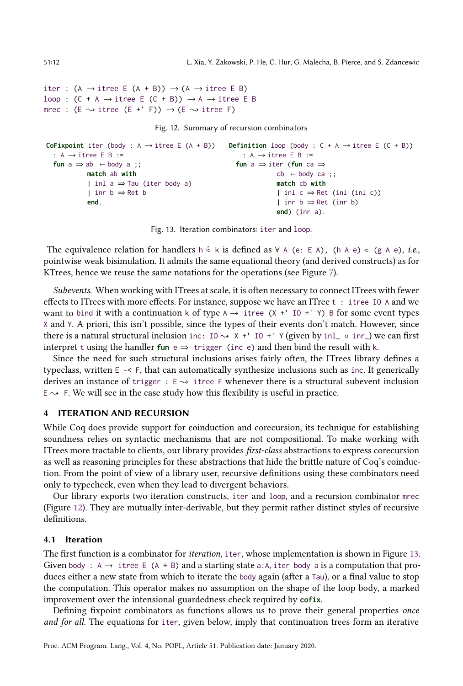```
iter : (A \rightarrow itree E (A + B)) \rightarrow (A \rightarrow itree E B)
loop : (C + A \rightarrow itree \in (C + B)) \rightarrow A \rightarrow itree \in Bmrec : (E \rightsquigarrow itree (E +' F)) \rightarrow (E \rightsquigarrow itree F)
```
Fig. 12. Summary of recursion combinators

```
CoFixpoint iter (body : A → itree E (A + B))
Definition loop (body : C + A → itree E (C + B))
 : A \rightarrow itree E B :=
 fun a \Rightarrow ab \leftarrow body a;
           match ab with
           | inl a ⇒ Tau (iter body a)
           | inr b ⇒ Ret b
           end.
                                                          : A \rightarrow itree E B :=
                                                        fun a ⇒ iter (fun ca ⇒
                                                                    cb \leftarrow body ca;
                                                                    match cb with
                                                                    | inl c \Rightarrow Ret (inl (inl c))
                                                                     | inr b ⇒ Ret (inr b)
                                                                    end) (inr a).
```
Fig. 13. Iteration combinators: iter and loop.

The equivalence relation for handlers h  $\hat{\approx}$  k is defined as  $\forall$  A (e: E A), (h A e)  $\approx$  (g A e), *i.e.*, pointwise weak bisimulation. It admits the same equational theory (and derived constructs) as for KTrees, hence we reuse the same notations for the operations (see Figure [7\)](#page-8-1).

Subevents. When working with ITrees at scale, it is often necessary to connect ITrees with fewer effects to ITrees with more effects. For instance, suppose we have an ITree t : itree IO A and we want to bind it with a continuation k of type  $A \rightarrow$  itree (X +' IO +' Y) B for some event types X and Y. A priori, this isn't possible, since the types of their events don't match. However, since there is a natural structural inclusion inc: IO  $\rightarrow$  X +' IO +' Y (given by inl\_ ◦ inr\_) we can first interpret t using the handler  $fun e \Rightarrow \text{trigger}$  (inc e) and then bind the result with k.

Since the need for such structural inclusions arises fairly often, the ITrees library defines a typeclass, written  $E \le F$ , that can automatically synthesize inclusions such as inc. It generically derives an instance of trigger :  $E \rightarrow$  itree F whenever there is a structural subevent inclusion  $E \rightarrow F$ . We will see in the case study how this flexibility is useful in practice.

### <span id="page-11-0"></span>4 ITERATION AND RECURSION

While Coq does provide support for coinduction and corecursion, its technique for establishing soundness relies on syntactic mechanisms that are not compositional. To make working with ITrees more tractable to clients, our library provides first-class abstractions to express corecursion as well as reasoning principles for these abstractions that hide the brittle nature of Coq's coinduction. From the point of view of a library user, recursive definitions using these combinators need only to typecheck, even when they lead to divergent behaviors.

Our library exports two iteration constructs, iter and loop, and a recursion combinator mrec (Figure [12\)](#page-11-1). They are mutually inter-derivable, but they permit rather distinct styles of recursive definitions.

#### 4.1 Iteration

The first function is a combinator for iteration, iter, whose implementation is shown in Figure [13.](#page-11-2) Given body :  $A \rightarrow$  itree E (A + B) and a starting state a: A, iter body a is a computation that produces either a new state from which to iterate the body again (after a Tau), or a final value to stop the computation. This operator makes no assumption on the shape of the loop body, a marked improvement over the intensional guardedness check required by **cofix**.

Defining fixpoint combinators as functions allows us to prove their general properties once and for all. The equations for iter, given below, imply that continuation trees form an iterative

<span id="page-11-1"></span>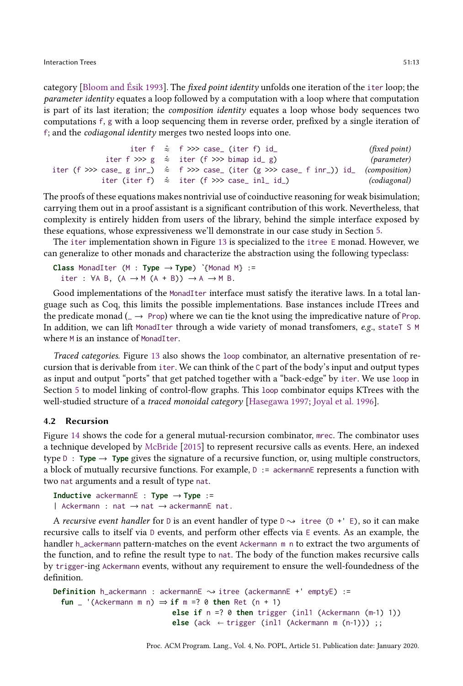category [\[Bloom and Ésik 1993](#page-28-1)]. The fixed point identity unfolds one iteration of the iter loop; the parameter identity equates a loop followed by a computation with a loop where that computation is part of its last iteration; the composition identity equates a loop whose body sequences two computations f, g with a loop sequencing them in reverse order, prefixed by a single iteration of f; and the codiagonal identity merges two nested loops into one.

```
iter f \hat{\approx} f >>> case_ (iter f) id_ (fixed point)
           iter f >>> g \approx iter (f >>> bimap id_ g) (parameter)
iter (f >>> case_ g inr_) \hat{\approx} f >>> case_ (iter (g >>> case_ f inr_)) id_ (composition)
           iter (iter f) \hat{\approx} iter (f >>> case_ inl_ id_) (codiagonal)
```
The proofs of these equations makes nontrivial use of coinductive reasoning for weak bisimulation; carrying them out in a proof assistant is a significant contribution of this work. Nevertheless, that complexity is entirely hidden from users of the library, behind the simple interface exposed by these equations, whose expressiveness we'll demonstrate in our case study in Section [5.](#page-13-0)

The iter implementation shown in Figure [13](#page-11-2) is specialized to the itree E monad. However, we can generalize to other monads and characterize the abstraction using the following typeclass:

**Class** MonadIter (M : **Type** → **Type**) **ˋ**{Monad M} := iter :  $\forall A \ B$ ,  $(A \rightarrow M (A + B)) \rightarrow A \rightarrow M B$ .

Good implementations of the MonadIter interface must satisfy the iterative laws. In a total language such as Coq, this limits the possible implementations. Base instances include ITrees and the predicate monad ( $\rightarrow$  Prop) where we can tie the knot using the impredicative nature of Prop. In addition, we can lift MonadIter through a wide variety of monad transfomers, e.g., stateT S M where M is an instance of MonadIter.

Traced categories. Figure [13](#page-11-2) also shows the loop combinator, an alternative presentation of recursion that is derivable from iter. We can think of the C part of the body's input and output types as input and output "ports" that get patched together with a "back-edge" by iter. We use loop in Section [5](#page-13-0) to model linking of control-flow graphs. This loop combinator equips KTrees with the well-studied structure of a traced monoidal category [\[Hasegawa 1997](#page-29-10); [Joyal et al. 1996\]](#page-29-11).

### 4.2 Recursion

Figure [14](#page-13-1) shows the code for a general mutual-recursion combinator, mrec. The combinator uses a technique developed by [McBride](#page-30-7) [\[2015](#page-30-7)] to represent recursive calls as events. Here, an indexed type  $D : Type \rightarrow Type$  gives the signature of a recursive function, or, using multiple constructors, a block of mutually recursive functions. For example,  $D := \text{ackermannE}$  represents a function with two nat arguments and a result of type nat.

```
Inductive ackermannE : Type → Type :=
| Ackermann : nat → nat → ackermannE nat.
```
A recursive event handler for D is an event handler of type  $D \rightarrow$  itree (D +' E), so it can make recursive calls to itself via D events, and perform other effects via E events. As an example, the handler h\_ackermann pattern-matches on the event Ackermann m n to extract the two arguments of the function, and to refine the result type to nat. The body of the function makes recursive calls by trigger-ing Ackermann events, without any requirement to ensure the well-foundedness of the definition.

```
Definition h_ackermann : ackermannE \sim itree (ackermannE +' emptyE) :=
  fun _ '(Ackermann m n) \Rightarrow if m =? 0 then Ret (n + 1)
                              else if n =? 0 then trigger (inl1 (Ackermann (m-1) 1))
                              else (ack \leftarrow trigger (inl1 (Ackermann m (n-1))) ;;
```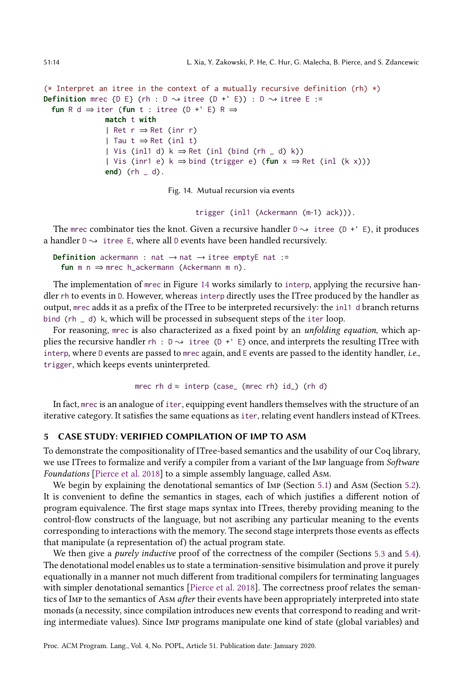```
51:14 L. Xia, Y. Zakowski, P. He, C. Hur, G. Malecha, B. Pierce, and S. Zdancewic
```

```
(* Interpret an itree in the context of a mutually recursive definition (rh) \star)
Definition mrec {D E} (rh : D \rightsquigarrow itree (D +' E)) : D \rightsquigarrow itree E :=
  fun R d \Rightarrow iter (fun t : itree (D +' E) R \Rightarrowmatch t with
                | Ret r ⇒ Ret (inr r)
                | Tau t ⇒ Ret (inl t)
                 | Vis (inl1 d) k \Rightarrow Ret (inl (bind (rh _ d) k))
                 | Vis (inr1 e) k ⇒ bind (trigger e) (fun x ⇒ Ret (inl (k x)))
                end) (rh _ d).
```
Fig. 14. Mutual recursion via events

trigger (inl1 (Ackermann (m-1) ack))).

The mrec combinator ties the knot. Given a recursive handler  $D \rightarrow i$  itree (D +' E), it produces a handler  $D \rightarrow i$  itree E, where all D events have been handled recursively.

**Definition** ackermann : nat  $\rightarrow$  nat  $\rightarrow$  itree emptyE nat := **fun** m n ⇒ mrec h\_ackermann (Ackermann m n).

The implementation of mrec in Figure [14](#page-13-1) works similarly to interp, applying the recursive handler rh to events in D. However, whereas interp directly uses the ITree produced by the handler as output, mrec adds it as a prefix of the ITree to be interpreted recursively: the inl1 d branch returns bind (rh \_ d) k, which will be processed in subsequent steps of the iter loop.

For reasoning, mrec is also characterized as a fixed point by an *unfolding equation*, which applies the recursive handler  $rh : D \rightarrow itree$  (D + ' E) once, and interprets the resulting ITree with interp, where D events are passed to mrec again, and E events are passed to the identity handler, i.e., trigger, which keeps events uninterpreted.

mrec rh  $d \approx$  interp (case\_ (mrec rh) id\_) (rh d)

In fact, mrec is an analogue of iter, equipping event handlers themselves with the structure of an iterative category. It satisfies the same equations as iter, relating event handlers instead of KTrees.

# <span id="page-13-0"></span>5 CASE STUDY: VERIFIED COMPILATION OF IMP TO ASM

To demonstrate the compositionality of ITree-based semantics and the usability of our Coq library, we use ITrees to formalize and verify a compiler from a variant of the Imp language from Software Foundations [\[Pierce et al. 2018\]](#page-30-10) to a simple assembly language, called Asm.

We begin by explaining the denotational semantics of IMP (Section [5.1\)](#page-14-0) and Asm (Section [5.2\)](#page-15-0). It is convenient to define the semantics in stages, each of which justifies a different notion of program equivalence. The first stage maps syntax into ITrees, thereby providing meaning to the control-flow constructs of the language, but not ascribing any particular meaning to the events corresponding to interactions with the memory. The second stage interprets those events as effects that manipulate (a representation of) the actual program state.

We then give a *purely inductive* proof of the correctness of the compiler (Sections [5.3](#page-16-0) and [5.4\)](#page-18-0). The denotational model enables us to state a termination-sensitive bisimulation and prove it purely equationally in a manner not much different from traditional compilers for terminating languages with simpler denotational semantics [\[Pierce et al. 2018\]](#page-30-10). The correctness proof relates the semantics of Imp to the semantics of Asm after their events have been appropriately interpreted into state monads (a necessity, since compilation introduces new events that correspond to reading and writing intermediate values). Since Imp programs manipulate one kind of state (global variables) and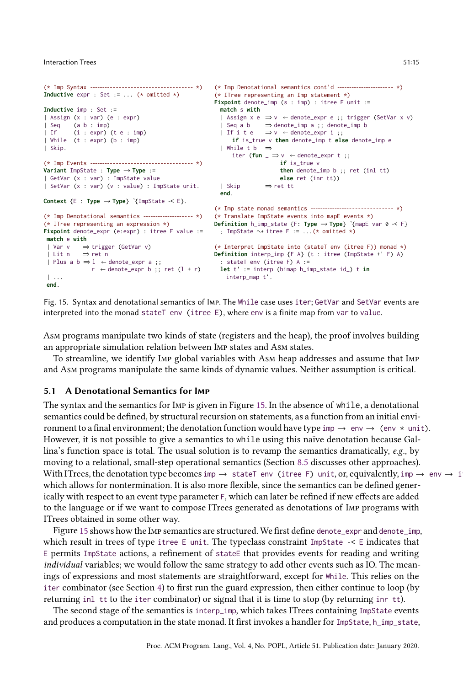```
(* Imp Syntax --------- - - - - - - - - - - - - - - - - - - - - - - - - - - - *)
Inductive expr : Set := ... (* omitted *)
Inductive imp : Set :=
| Assign (x : var) (e : expr)
| Seq (a b : imp)
| If (i : expr) (t e : imp)
| While (t : expr) (b : imp)
| Skip.
(* Imp Events --------- - - - - - - - - - - - - - - - - - - - - - - - - - - - *)
Variant ImpState : Type → Type :=
| GetVar (x : var) : ImpState value
| SetVar (x : var) (v : value) : ImpState unit.
Context {E : Type → Type} ˋ{ImpState -< E}.
(* Imp Denotational semantics ----------------- - - - *)
(* ITree representing an expression *)
Fixpoint denote_expr (e:expr) : itree E value :=
match e with
 | Var v ⇒ trigger (GetVar v)
| Lit n ⇒ ret n
| Plus a b \Rightarrow 1 \leftarrow denote_expr a ;;
              r \leftarrow denote_expr b ;; ret (1 + r)| ...
end.
                                                          (* Imp Denotational semantics cont'd --------------------- - - *)
                                                           (* ITree representing an Imp statement *)
                                                           Fixpoint denote_imp (s : imp) : itree E unit :=
                                                            match s with
                                                             | Assign x e ⇒ v  denote_expr e ;; trigger (SetVar x v)
                                                              | Seq a b   ⇒ denote_imp a ;; denote_imp b<br>| If i t e   ⇒ v ← denote_expr i ;;
                                                                 if is_true v then denote_imp t else denote_imp e
                                                             | While t b ⇒
                                                                 iter (fun \_\Rightarrow v \leftarrow denote\_expr t;;
                                                                                 if is_true v
                                                                                  then denote_imp b ;; ret (inl tt)
                                                                                  else ret (inr tt))
                                                            | Skip ⇒ ret tt
                                                             end.
                                                           (* Imp state monad semantics ----------------- - - - - - - - - - - - - - - *)
                                                         (* Translate ImpState events into mapE events *)
                                                           Definition h_imp_state {F: Type → Type} ˋ{mapE var 0 -< F}
                                                          : ImpState \rightsquigarrow itree F := ...(* omitted *)
                                                           (* Interpret ImpState into (stateT env (itree F)) monad *)
                                                          Definition interp_imp {F A} (t : itree (ImpState +' F) A)
                                                              : stateT env (itree F) A :=
let t' := interp (bimap h_imp_state id_) t in
                                                              interp_map t'.
```
Fig. 15. Syntax and denotational semantics of Imp. The While case uses iter; GetVar and SetVar events are interpreted into the monad stateT env (itree E), where env is a finite map from var to value.

Asm programs manipulate two kinds of state (registers and the heap), the proof involves building an appropriate simulation relation between Imp states and Asm states.

To streamline, we identify Imp global variables with Asm heap addresses and assume that Imp and Asm programs manipulate the same kinds of dynamic values. Neither assumption is critical.

#### <span id="page-14-0"></span>5.1 A Denotational Semantics for Imp

The syntax and the semantics for Imp is given in Figure [15.](#page-14-1) In the absence of while, a denotational semantics could be defined, by structural recursion on statements, as a function from an initial environment to a final environment; the denotation function would have type imp  $\rightarrow$  env  $\rightarrow$  (env  $*$  unit). However, it is not possible to give a semantics to while using this naïve denotation because Gallina's function space is total. The usual solution is to revamp the semantics dramatically,  $e.g.,$  by moving to a relational, small-step operational semantics (Section [8.5](#page-26-0) discusses other approaches). With ITrees, the denotation type becomes imp  $\rightarrow$  stateT env (itree F) unit, or, equivalently, imp  $\rightarrow$  env  $\rightarrow$  i which allows for nontermination. It is also more flexible, since the semantics can be defined generically with respect to an event type parameter F, which can later be refined if new effects are added to the language or if we want to compose ITrees generated as denotations of Imp programs with ITrees obtained in some other way.

Figure [15](#page-14-1) shows how the IMP semantics are structured. We first define denote\_expr and denote\_imp, which result in trees of type itree E unit. The typeclass constraint ImpState  $-\epsilon$  E indicates that E permits ImpState actions, a refinement of stateE that provides events for reading and writing individual variables; we would follow the same strategy to add other events such as IO. The meanings of expressions and most statements are straightforward, except for While. This relies on the iter combinator (see Section [4\)](#page-11-0) to first run the guard expression, then either continue to loop (by returning inl tt to the iter combinator) or signal that it is time to stop (by returning inr tt).

The second stage of the semantics is interp\_imp, which takes ITrees containing ImpState events and produces a computation in the state monad. It first invokes a handler for ImpState, h\_imp\_state,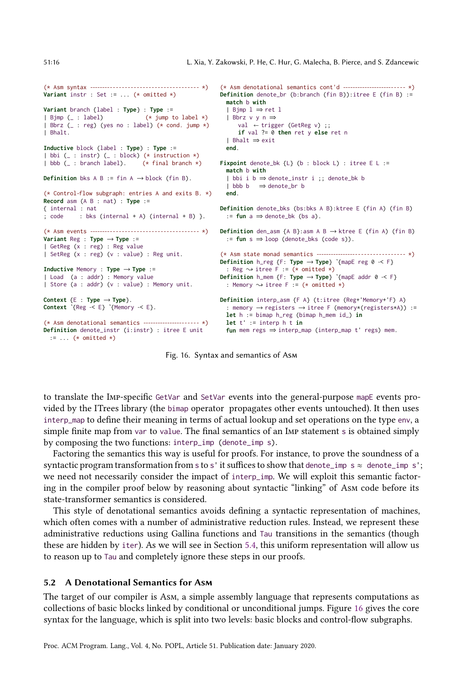```
(* Asm syntax --------- - - - - - - - - - - - - - - - - - - - - - - - - - - - - - *)
Variant instr : Set := ... (* omitted *)
Variant branch {label : Type} : Type :=
| Bjmp (_ : label) (* jump to label *)
| Bbrz (_ : reg) (yes no : label) (* cond. jump *)
| Bhalt.
Inductive block (label : Type) : Type :=
| bbi (_ : instr) (_ : block) (* instruction *)
| bbb (_ : branch label). (* final branch *)
Definition bks A B := fin A \rightarrow block (fin B).
(* Control-flow subgraph: entries A and exits B. *)
Record asm (A B : nat) : Type :=
{ internal : nat
; code : bks (internal + A) (internal + B) }.
(* Asm events --------- - - - - - - - - - - - - - - - - - - - - - - - - - - - - - *)
Definition den_asm {A B}:asm A B → ktree E (fin A) (fin B)
Variant Reg : Type → Type :=
| GetReg (x : reg) : Reg value
| SetReg (x : reg) (v : value) : Reg unit.
Inductive Memory : Type → Type :=
| Load (a : addr) : Memory value
| Store (a : addr) (v : value) : Memory unit.
Context {E : Type → Type}.
Context ˋ{Reg -< E} ˋ{Memory -< E}.
(* Asm denotational semantics ----------------- - - - - - *)
Definition denote_instr (i:instr) : itree E unit
  := ... (* omitted *)
                                                          (* Asm denotational semantics cont'd --------------------- - - - - *)
                                                          Definition denote_br (b:branch (fin B)):itree E (fin B) :=
                                                            match b with
                                                            | Bjmp l ⇒ ret l
                                                           | Bbrz v y n ⇒
                                                              val \leftarrow trigger (GetReg v);
                                                                if val ?= 0 then ret y else ret n
                                                            | Bhalt ⇒ exit
                                                            end.
                                                          Fixpoint denote_bk {L} (b : block L) : itree E L :=
                                                            match b with
                                                            | bbi i b ⇒ denote_instr i ;; denote_bk b
                                                           I bbb b \Rightarrow denote br b
                                                           end.
                                                          Definition denote_bks (bs:bks A B):ktree E (fin A) (fin B)
                                                           := fun a ⇒ denote_bk (bs a).
                                                           := fun s ⇒ loop (denote_bks (code s)).
                                                          (* Asm state monad semantics ----------------- - - - - - - - - - - - - - - - - *)
                                                        Definition h_reg {F: Type → Type} ˋ{mapE reg 0 -< F}
                                                           : Reg \rightsquigarrow itree F := (* omitted *)
                                                          Definition h_mem {F: Type → Type} ˋ{mapE addr 0 -< F}
                                                           : Memory \rightsquigarrow itree F := (* omitted *)
                                                          Definition interp_asm {F A} (t:itree (Reg+'Memory+'F) A)
                                                            : memory → registers → itree F (memory*(registers*A)) :=
                                                            let h := bimap h_reg (bimap h_mem id_) in
                                                            let t' := interp h t in
                                                            fun mem regs ⇒ interp_map (interp_map t' regs) mem.
```
Fig. 16. Syntax and semantics of Asm

to translate the Imp-specific GetVar and SetVar events into the general-purpose mapE events provided by the ITrees library (the bimap operator propagates other events untouched). It then uses interp\_map to define their meaning in terms of actual lookup and set operations on the type env, a simple finite map from var to value. The final semantics of an IMP statement s is obtained simply by composing the two functions: interp\_imp (denote\_imp s).

Factoring the semantics this way is useful for proofs. For instance, to prove the soundness of a syntactic program transformation from s to s' it suffices to show that denote\_imp s  $\approx$  denote\_imp s'; we need not necessarily consider the impact of interp\_imp. We will exploit this semantic factoring in the compiler proof below by reasoning about syntactic "linking" of Asm code before its state-transformer semantics is considered.

This style of denotational semantics avoids defining a syntactic representation of machines, which often comes with a number of administrative reduction rules. Instead, we represent these administrative reductions using Gallina functions and Tau transitions in the semantics (though these are hidden by iter). As we will see in Section [5.4,](#page-18-0) this uniform representation will allow us to reason up to Tau and completely ignore these steps in our proofs.

### <span id="page-15-0"></span>5.2 A Denotational Semantics for Asm

The target of our compiler is Asm, a simple assembly language that represents computations as collections of basic blocks linked by conditional or unconditional jumps. Figure [16](#page-15-1) gives the core syntax for the language, which is split into two levels: basic blocks and control-flow subgraphs.

<span id="page-15-1"></span>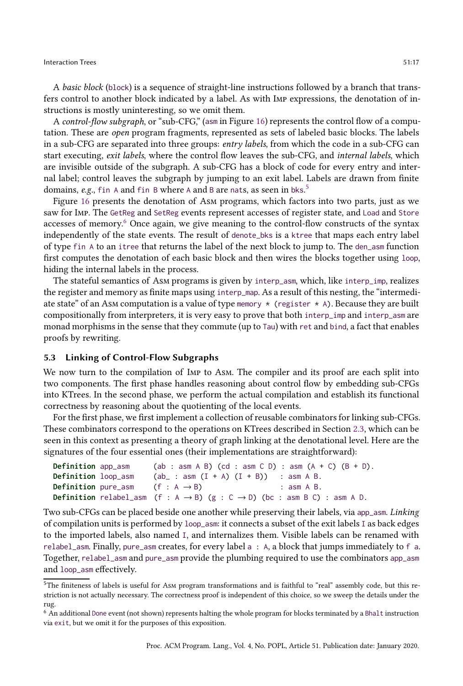A basic block (block) is a sequence of straight-line instructions followed by a branch that transfers control to another block indicated by a label. As with Imp expressions, the denotation of instructions is mostly uninteresting, so we omit them.

A control-flow subgraph, or "sub-CFG," (asm in Figure [16\)](#page-15-1) represents the control flow of a computation. These are open program fragments, represented as sets of labeled basic blocks. The labels in a sub-CFG are separated into three groups: entry labels, from which the code in a sub-CFG can start executing, exit labels, where the control flow leaves the sub-CFG, and internal labels, which are invisible outside of the subgraph. A sub-CFG has a block of code for every entry and internal label; control leaves the subgraph by jumping to an exit label. Labels are drawn from finite domains, e.g., fin A and fin B where A and B are nats, as seen in bks.<sup>[5](#page-16-1)</sup>

Figure [16](#page-15-1) presents the denotation of Asm programs, which factors into two parts, just as we saw for Imp. The GetReg and SetReg events represent accesses of register state, and Load and Store accesses of memory. $6$  Once again, we give meaning to the control-flow constructs of the syntax independently of the state events. The result of denote\_bks is a ktree that maps each entry label of type fin A to an itree that returns the label of the next block to jump to. The den\_asm function first computes the denotation of each basic block and then wires the blocks together using loop, hiding the internal labels in the process.

The stateful semantics of Asm programs is given by interp\_asm, which, like interp\_imp, realizes the register and memory as finite maps using interp\_map. As a result of this nesting, the "intermediate state" of an Asm computation is a value of type memory  $\star$  (register  $\star$  A). Because they are built compositionally from interpreters, it is very easy to prove that both interp\_imp and interp\_asm are monad morphisms in the sense that they commute (up to Tau) with ret and bind, a fact that enables proofs by rewriting.

# <span id="page-16-0"></span>5.3 Linking of Control-Flow Subgraphs

We now turn to the compilation of IMP to AsM. The compiler and its proof are each split into two components. The first phase handles reasoning about control flow by embedding sub-CFGs into KTrees. In the second phase, we perform the actual compilation and establish its functional correctness by reasoning about the quotienting of the local events.

For the first phase, we first implement a collection of reusable combinators for linking sub-CFGs. These combinators correspond to the operations on KTrees described in Section [2.3,](#page-7-1) which can be seen in this context as presenting a theory of graph linking at the denotational level. Here are the signatures of the four essential ones (their implementations are straightforward):

```
Definition app_asm (ab : asm A B) (cd : asm C D) : asm (A + C) (B + D).
Definition loop\_asm (ab_ : asm (I + A) (I + B)) : asm A B.
Definition pure_asm (f : A \rightarrow B) : asm A B.
Definition relabel_asm (f : A \rightarrow B) (g : C \rightarrow D) (bc : asm B C) : asm A D.
```
Two sub-CFGs can be placed beside one another while preserving their labels, via app\_asm. Linking of compilation units is performed by loop\_asm: it connects a subset of the exit labels I as back edges to the imported labels, also named I, and internalizes them. Visible labels can be renamed with relabel\_asm. Finally, pure\_asm creates, for every label a : A, a block that jumps immediately to f a. Together, relabel\_asm and pure\_asm provide the plumbing required to use the combinators app\_asm and loop\_asm effectively.

<span id="page-16-1"></span><sup>5</sup>The finiteness of labels is useful for Asm program transformations and is faithful to "real" assembly code, but this restriction is not actually necessary. The correctness proof is independent of this choice, so we sweep the details under the rug.

<span id="page-16-2"></span><sup>6</sup> An additional Done event (not shown) represents halting the whole program for blocks terminated by a Bhalt instruction via exit, but we omit it for the purposes of this exposition.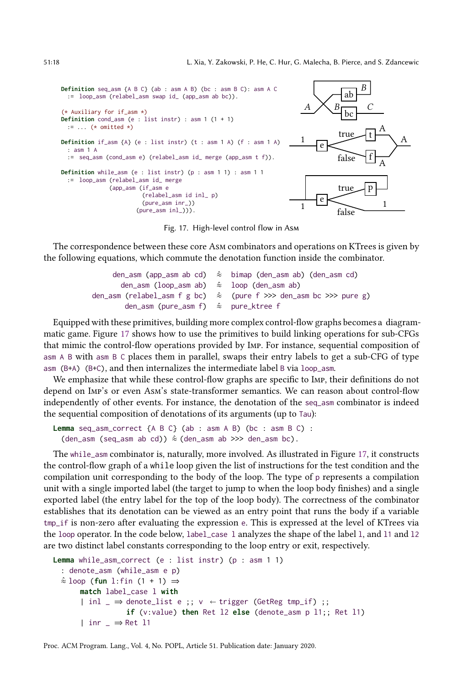<span id="page-17-0"></span>

Fig. 17. High-level control flow in Asm

The correspondence between these core Asm combinators and operations on KTrees is given by the following equations, which commute the denotation function inside the combinator.

|                                                         |  | den_asm (app_asm ab cd) $\hat{\approx}$ bimap (den_asm ab) (den_asm cd) |
|---------------------------------------------------------|--|-------------------------------------------------------------------------|
| den_asm (loop_asm ab) $\hat{\approx}$ loop (den_asm ab) |  |                                                                         |
|                                                         |  |                                                                         |
| den_asm (pure_asm f) $\approx$ pure_ktree f             |  |                                                                         |

Equipped with these primitives, building more complex control-flow graphs becomes a diagrammatic game. Figure [17](#page-17-0) shows how to use the primitives to build linking operations for sub-CFGs that mimic the control-flow operations provided by Imp. For instance, sequential composition of asm A B with asm B C places them in parallel, swaps their entry labels to get a sub-CFG of type asm (B+A) (B+C), and then internalizes the intermediate label B via loop\_asm.

We emphasize that while these control-flow graphs are specific to Imp, their definitions do not depend on Imp's or even Asm's state-transformer semantics. We can reason about control-flow independently of other events. For instance, the denotation of the seq\_asm combinator is indeed the sequential composition of denotations of its arguments (up to Tau):

```
Lemma seq_asm_correct {A B C} (ab : asm A B) (bc : asm B C) :
  (den_asm (seq_asm ab cd)) \hat{\approx} (den_asm ab >>> den_asm bc).
```
The while\_asm combinator is, naturally, more involved. As illustrated in Figure [17,](#page-17-0) it constructs the control-flow graph of a while loop given the list of instructions for the test condition and the compilation unit corresponding to the body of the loop. The type of p represents a compilation unit with a single imported label (the target to jump to when the loop body finishes) and a single exported label (the entry label for the top of the loop body). The correctness of the combinator establishes that its denotation can be viewed as an entry point that runs the body if a variable tmp\_if is non-zero after evaluating the expression e. This is expressed at the level of KTrees via the loop operator. In the code below, label\_case l analyzes the shape of the label l, and l1 and l2 are two distinct label constants corresponding to the loop entry or exit, respectively.

```
Lemma while_asm_correct (e : list instr) (p : asm 1 1)
 : denote_asm (while_asm e p)
 ≈ˆ loop (fun l:fin (1 + 1) ⇒
      match label_case l with
      | inl _ \Rightarrow denote_list e ;; v \leftarrow trigger (GetReg tmp_if) ;;
                  if (v:value) then Ret l2 else (denote_asm p l1;; Ret l1)
      | inr _ ⇒ Ret l1
```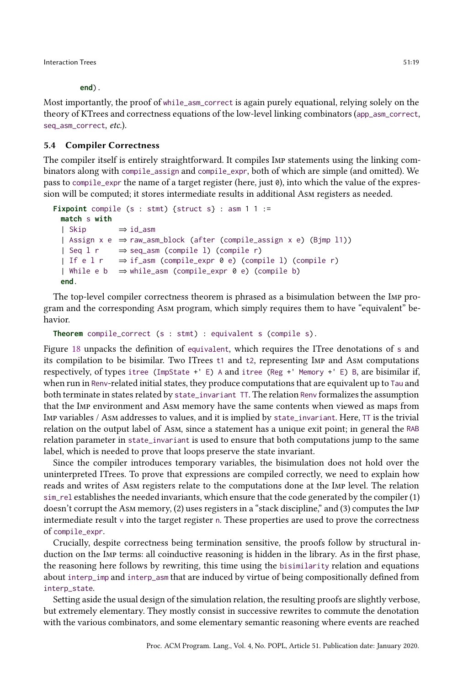**end**).

Most importantly, the proof of while\_asm\_correct is again purely equational, relying solely on the theory of KTrees and correctness equations of the low-level linking combinators (app\_asm\_correct, seq\_asm\_correct, etc.).

### <span id="page-18-0"></span>5.4 Compiler Correctness

The compiler itself is entirely straightforward. It compiles Imp statements using the linking combinators along with compile\_assign and compile\_expr, both of which are simple (and omitted). We pass to compile\_expr the name of a target register (here, just 0), into which the value of the expression will be computed; it stores intermediate results in additional Asm registers as needed.

```
Fixpoint compile (s : stmt) {struct s} : asm 1 1 :=
 match s with
 | Skip ⇒ id_asm
 | Assign x e ⇒ raw_asm_block (after (compile_assign x e) (Bjmp l1))
 | Seq l r ⇒ seq_asm (compile l) (compile r)
 | If e l r ⇒ if_asm (compile_expr 0 e) (compile l) (compile r)
 | While e b \Rightarrow while_asm (compile_expr 0 e) (compile b)
 end.
```
The top-level compiler correctness theorem is phrased as a bisimulation between the Imp program and the corresponding Asm program, which simply requires them to have "equivalent" behavior.

```
Theorem compile_correct (s : stmt) : equivalent s (compile s).
```
Figure [18](#page-19-1) unpacks the definition of equivalent, which requires the ITree denotations of s and its compilation to be bisimilar. Two ITrees t1 and t2, representing Imp and Asm computations respectively, of types itree (ImpState +' E) A and itree (Reg +' Memory +' E) B, are bisimilar if, when run in Renv-related initial states, they produce computations that are equivalent up to Tau and both terminate in states related by state\_invariant TT. The relation Renv formalizes the assumption that the Imp environment and Asm memory have the same contents when viewed as maps from Imp variables / Asm addresses to values, and it is implied by state\_invariant. Here, TT is the trivial relation on the output label of Asm, since a statement has a unique exit point; in general the RAB relation parameter in state\_invariant is used to ensure that both computations jump to the same label, which is needed to prove that loops preserve the state invariant.

Since the compiler introduces temporary variables, the bisimulation does not hold over the uninterpreted ITrees. To prove that expressions are compiled correctly, we need to explain how reads and writes of Asm registers relate to the computations done at the Imp level. The relation sim\_rel establishes the needed invariants, which ensure that the code generated by the compiler (1) doesn't corrupt the Asm memory, (2) uses registers in a "stack discipline," and (3) computes the Imp intermediate result v into the target register n. These properties are used to prove the correctness of compile\_expr.

Crucially, despite correctness being termination sensitive, the proofs follow by structural induction on the Imp terms: all coinductive reasoning is hidden in the library. As in the first phase, the reasoning here follows by rewriting, this time using the bisimilarity relation and equations about interp\_imp and interp\_asm that are induced by virtue of being compositionally defined from interp\_state.

Setting aside the usual design of the simulation relation, the resulting proofs are slightly verbose, but extremely elementary. They mostly consist in successive rewrites to commute the denotation with the various combinators, and some elementary semantic reasoning where events are reached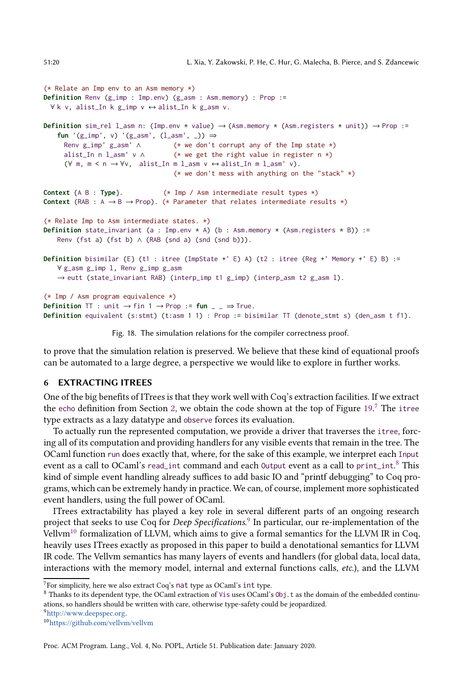```
(* Relate an Imp env to an Asm memory *)
Definition Renv (g_imp : Imp.env) (g_asm : Asm.memory) : Prop :=
 ∀ k v, alist_In k g_imp v ↔ alist_In k g_asm v.
Definition sim_rel l_asm n: (Imp.env * value) \rightarrow (Asm.memory * (Asm.registers * unit)) \rightarrow Prop :=
   fun '(g_imp', v) '(g_asm', (l_asm', _)) ⇒
     Renv g_imp' g_asm' ∧ (* we don't corrupt any of the Imp state *)
     alist_In n l_asm' v \wedge (* we get the right value in register n *)
      (\forall m, m < n \rightarrow \forall v, \text{alist\_In } m \text{ l\_asm } v \leftrightarrow \text{alist\_In } m \text{ l\_asm'} v).(* we don't mess with anything on the "stack" *)Context {A B : Type}. (* Imp / Asm intermediate result types *)
Context (RAB : A \rightarrow B \rightarrow Prop). (* Parameter that relates intermediate results *)
(* Relate Imp to Asm intermediate states. *)
Definition state_invariant (a : Imp.env * A) (b : Asm.memory * (Asm.registers * B)) :=
   Renv (fst a) (fst b) \land (RAB (snd a) (snd (snd b))).
Definition bisimilar {E} (t1 : itree (ImpState +' E) A) (t2 : itree (Reg +' Memory +' E) B) :=
   ∀ g_asm g_imp l, Renv g_imp g_asm
    \rightarrow eutt (state_invariant RAB) (interp_imp t1 g_imp) (interp_asm t2 g_asm l).
(* Imp / Asm program equivalence *)
Definition TT : unit \rightarrow fin 1 \rightarrow Prop := fun _ _ \rightarrow True.
Definition equivalent (s:stmt) (t:asm 1 1) : Prop := bisimilar TT (denote_stmt s) (den_asm t f1).
```
Fig. 18. The simulation relations for the compiler correctness proof.

to prove that the simulation relation is preserved. We believe that these kind of equational proofs can be automated to a large degree, a perspective we would like to explore in further works.

### <span id="page-19-0"></span>6 EXTRACTING ITREES

One of the big benefits of ITrees is that they work well with Coq's extraction facilities. If we extract the echo definition from Section [2,](#page-3-0) we obtain the code shown at the top of Figure  $19<sup>7</sup>$  $19<sup>7</sup>$  $19<sup>7</sup>$  The itree type extracts as a lazy datatype and observe forces its evaluation.

To actually run the represented computation, we provide a driver that traverses the itree, forcing all of its computation and providing handlers for any visible events that remain in the tree. The OCaml function run does exactly that, where, for the sake of this example, we interpret each Input event as a call to OCaml's read\_int command and each 0utput event as a call to print\_int.<sup>[8](#page-19-3)</sup> This kind of simple event handling already suffices to add basic IO and "printf debugging" to Coq programs, which can be extremely handy in practice. We can, of course, implement more sophisticated event handlers, using the full power of OCaml.

ITrees extractability has played a key role in several different parts of an ongoing research project that seeks to use Coq for Deep Specifications.<sup>[9](#page-19-4)</sup> In particular, our re-implementation of the Vellvm<sup>[10](#page-19-5)</sup> formalization of LLVM, which aims to give a formal semantics for the LLVM IR in Coq, heavily uses ITrees exactly as proposed in this paper to build a denotational semantics for LLVM IR code. The Vellvm semantics has many layers of events and handlers (for global data, local data, interactions with the memory model, internal and external functions calls, etc.), and the LLVM

 $7$ For simplicity, here we also extract Coq's nat type as OCaml's int type.

<span id="page-19-3"></span><span id="page-19-2"></span> $8$  Thanks to its dependent type, the OCaml extraction of Vis uses OCaml's 0bj. t as the domain of the embedded continuations, so handlers should be written with care, otherwise type-safety could be jeopardized.

<sup>9</sup>[http://www.deepspec.org.](http://www.deepspec.org)

<span id="page-19-5"></span><span id="page-19-4"></span><sup>10</sup><https://github.com/vellvm/vellvm>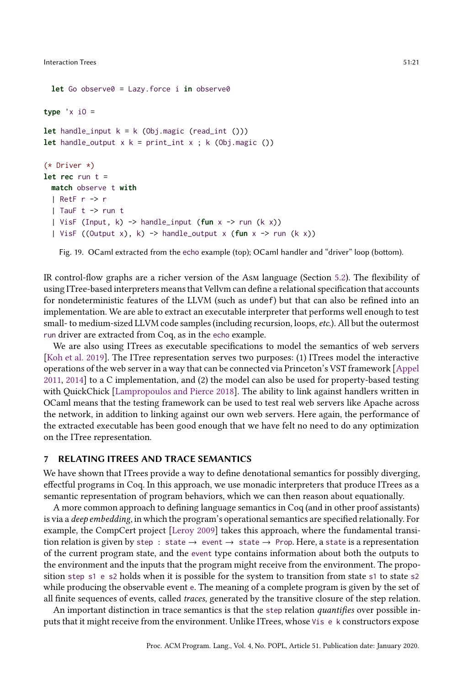```
let Go observe0 = Lazy.force i in observe0
type 'x iO =
let handle_input k = k (Obj.magic (read_int ()))
let handle_output x k = print_int x ; k (Obj.magic ())
(* Driver *)
let rec run t =
 match observe t with
 | RetF r -> r
  | TauF t -> run t
  | VisF (Input, k) -> handle_input (fun x -> run (k x))
  | VisF ((Output x), k) -> handle_output x (fun x -> run (k x))
```
Fig. 19. OCaml extracted from the echo example (top); OCaml handler and "driver" loop (bottom).

IR control-flow graphs are a richer version of the Asm language (Section [5.2\)](#page-15-0). The flexibility of using ITree-based interpreters means that Vellvm can define a relational specification that accounts for nondeterministic features of the LLVM (such as undef) but that can also be refined into an implementation. We are able to extract an executable interpreter that performs well enough to test small- to medium-sized LLVM code samples (including recursion, loops, etc.). All but the outermost run driver are extracted from Coq, as in the echo example.

We are also using ITrees as executable specifications to model the semantics of web servers [\[Koh et al. 2019](#page-29-2)]. The ITree representation serves two purposes: (1) ITrees model the interactive operations of the web server in a way that can be connected via Princeton's VST framework [\[Appel](#page-28-3) [2011,](#page-28-3) [2014\]](#page-28-4) to a C implementation, and (2) the model can also be used for property-based testing with QuickChick [\[Lampropoulos and Pierce 2018\]](#page-30-4). The ability to link against handlers written in OCaml means that the testing framework can be used to test real web servers like Apache across the network, in addition to linking against our own web servers. Here again, the performance of the extracted executable has been good enough that we have felt no need to do any optimization on the ITree representation.

# <span id="page-20-0"></span>7 RELATING ITREES AND TRACE SEMANTICS

We have shown that ITrees provide a way to define denotational semantics for possibly diverging, effectful programs in Coq. In this approach, we use monadic interpreters that produce ITrees as a semantic representation of program behaviors, which we can then reason about equationally.

A more common approach to defining language semantics in Coq (and in other proof assistants) is via a *deep embedding*, in which the program's operational semantics are specified relationally. For example, the CompCert project [\[Leroy 2009\]](#page-30-1) takes this approach, where the fundamental transition relation is given by step : state  $\rightarrow$  event  $\rightarrow$  state  $\rightarrow$  Prop. Here, a state is a representation of the current program state, and the event type contains information about both the outputs to the environment and the inputs that the program might receive from the environment. The proposition step s1 e s2 holds when it is possible for the system to transition from state s1 to state s2 while producing the observable event e. The meaning of a complete program is given by the set of all finite sequences of events, called traces, generated by the transitive closure of the step relation.

An important distinction in trace semantics is that the step relation *quantifies* over possible inputs that it might receive from the environment. Unlike ITrees, whose Vis e k constructors expose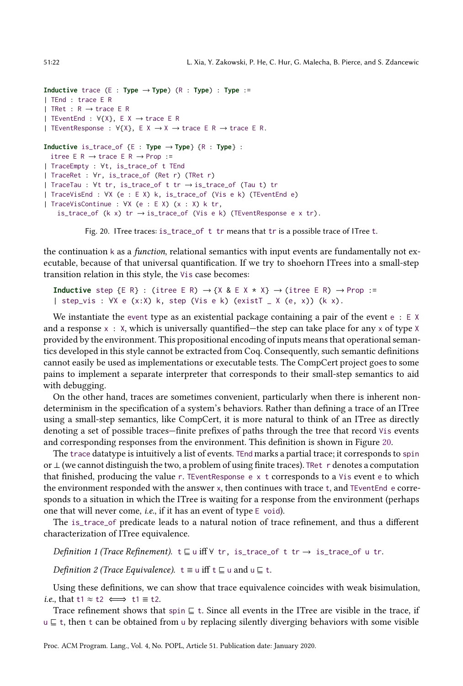```
Inductive trace (E : Type → Type) (R : Type) : Type :=
| TEnd : trace E R
| TRet : R \rightarrow trace E R
| TEventEnd : ∀{X}, E X → trace E R
| TEventResponse : \forall {\X}, E X \rightarrow X \rightarrow trace E R \rightarrow trace E R.
Inductive is_trace_of {E : Type → Type} {R : Type} :
 itree E R \rightarrow trace E R \rightarrow Prop :=
| TraceEmpty : ∀t, is_trace_of t TEnd
| TraceRet : ∀r, is_trace_of (Ret r) (TRet r)
| TraceTau : ∀t tr, is_trace_of t tr → is_trace_of (Tau t) tr
| TraceVisEnd : ∀X (e : E X) k, is_trace_of (Vis e k) (TEventEnd e)
| TraceVisContinue : ∀X (e : E X) (x : X) k tr,
    is_trace_of (k x) tr \rightarrow is_trace_of (Vis e k) (TEventResponse e x tr).
```
Fig. 20. ITree traces: is\_trace\_of t tr means that tr is a possible trace of ITree t.

the continuation k as a *function*, relational semantics with input events are fundamentally not executable, because of that universal quantification. If we try to shoehorn ITrees into a small-step transition relation in this style, the Vis case becomes:

```
Inductive step \{E \in R\} : (itree E R) \rightarrow \{X \& E \times X \times X\} \rightarrow (itree E R) \rightarrow Prop :=
| step_vis : ∀X e (x:X) k, step (Vis e k) (existT _ X (e, x)) (k x).
```
We instantiate the event type as an existential package containing a pair of the event  $e : E \times$ and a response  $x : X$ , which is universally quantified—the step can take place for any x of type X provided by the environment. This propositional encoding of inputs means that operational semantics developed in this style cannot be extracted from Coq. Consequently, such semantic definitions cannot easily be used as implementations or executable tests. The CompCert project goes to some pains to implement a separate interpreter that corresponds to their small-step semantics to aid with debugging.

On the other hand, traces are sometimes convenient, particularly when there is inherent nondeterminism in the specification of a system's behaviors. Rather than defining a trace of an ITree using a small-step semantics, like CompCert, it is more natural to think of an ITree as directly denoting a set of possible traces—finite prefixes of paths through the tree that record Vis events and corresponding responses from the environment. This definition is shown in Figure [20.](#page-21-0)

The trace datatype is intuitively a list of events. TEnd marks a partial trace; it corresponds to spin or ⊥ (we cannot distinguish the two, a problem of using finite traces). TRet r denotes a computation that finished, producing the value r. TEventResponse e x t corresponds to a Vis event e to which the environment responded with the answer x, then continues with trace t, and TEventEnd e corresponds to a situation in which the ITree is waiting for a response from the environment (perhaps one that will never come, i.e., if it has an event of type E void).

The is\_trace\_of predicate leads to a natural notion of trace refinement, and thus a different characterization of ITree equivalence.

Definition 1 (Trace Refinement). t ⊑ u iff ∀ tr, is\_trace\_of t tr → is\_trace\_of u tr.

*Definition 2 (Trace Equivalence).*  $t \equiv u$  iff  $t \sqsubseteq u$  and  $u \sqsubseteq t$ .

Using these definitions, we can show that trace equivalence coincides with weak bisimulation, i.e., that t1  $\approx$  t2  $\iff$  t1  $\equiv$  t2.

Trace refinement shows that spin ⊑ t. Since all events in the ITree are visible in the trace, if u ⊑ t, then t can be obtained from u by replacing silently diverging behaviors with some visible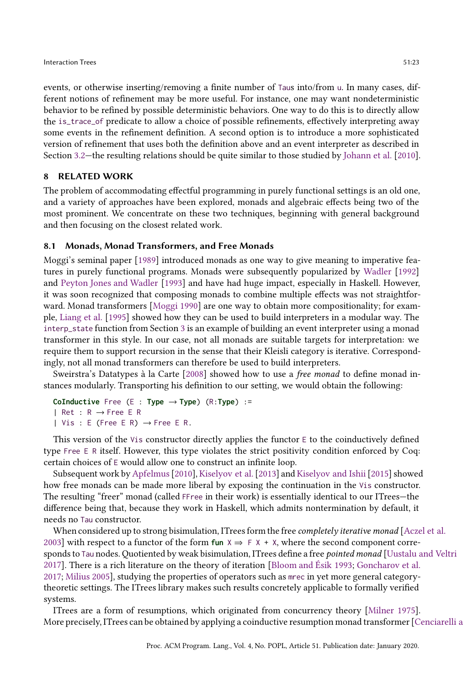events, or otherwise inserting/removing a finite number of Taus into/from u. In many cases, different notions of refinement may be more useful. For instance, one may want nondeterministic behavior to be refined by possible deterministic behaviors. One way to do this is to directly allow the is\_trace\_of predicate to allow a choice of possible refinements, effectively interpreting away some events in the refinement definition. A second option is to introduce a more sophisticated version of refinement that uses both the definition above and an event interpreter as described in Section [3.2—](#page-9-1)the resulting relations should be quite similar to those studied by [Johann et al.](#page-29-12) [\[2010\]](#page-29-12).

# <span id="page-22-0"></span>8 RELATED WORK

The problem of accommodating effectful programming in purely functional settings is an old one, and a variety of approaches have been explored, monads and algebraic effects being two of the most prominent. We concentrate on these two techniques, beginning with general background and then focusing on the closest related work.

# 8.1 Monads, Monad Transformers, and Free Monads

Moggi's seminal paper [\[1989\]](#page-30-5) introduced monads as one way to give meaning to imperative features in purely functional programs. Monads were subsequently popularized by [Wadler](#page-31-5) [\[1992\]](#page-31-5) and [Peyton Jones and Wadler](#page-30-11) [\[1993\]](#page-30-11) and have had huge impact, especially in Haskell. However, it was soon recognized that composing monads to combine multiple effects was not straightforward. Monad transformers [\[Moggi 1990\]](#page-30-12) are one way to obtain more compositionality; for example, [Liang et al.](#page-30-13) [\[1995\]](#page-30-13) showed how they can be used to build interpreters in a modular way. The interp\_state function from Section [3](#page-8-0) is an example of building an event interpreter using a monad transformer in this style. In our case, not all monads are suitable targets for interpretation: we require them to support recursion in the sense that their Kleisli category is iterative. Correspondingly, not all monad transformers can therefore be used to build interpreters.

Sweirstra's Datatypes à la Carte [\[2008\]](#page-31-3) showed how to use a free monad to define monad instances modularly. Transporting his definition to our setting, we would obtain the following:

```
CoInductive Free (E : Type → Type) (R:Type) :=
| Ret : R → Free E R
| Vis : E (Free E R) \rightarrow Free E R.
```
This version of the Vis constructor directly applies the functor  $E$  to the coinductively defined type Free E R itself. However, this type violates the strict positivity condition enforced by Coq: certain choices of E would allow one to construct an infinite loop.

Subsequent work by Apfelmus [2010], Kiselyov et al. [2013] and Kiselyov and Ishii [2015] showed how free monads can be made more liberal by exposing the continuation in the Vis constructor. The resulting "freer" monad (called FFree in their work) is essentially identical to our ITrees-the difference being that, because they work in Haskell, which admits nontermination by default, it needs no Tau constructor.

When considered up to strong bisimulation, ITrees form the free *completely iterative monad* [\[Aczel et al.](#page-28-6) [2003\]](#page-28-6) with respect to a functor of the form **fun**  $X \Rightarrow F X + X$ , where the second component corre-sponds to Tau nodes. Quotiented by weak bisimulation, ITrees define a free pointed monad [\[Uustalu and Veltri](#page-31-6) [2017\]](#page-31-6). There is a rich literature on the theory of iteration [\[Bloom and Ésik 1993;](#page-28-1) [Goncharov et al.](#page-29-14) [2017;](#page-29-14) [Milius 2005](#page-30-14)], studying the properties of operators such as mrec in yet more general categorytheoretic settings. The ITrees library makes such results concretely applicable to formally verified systems.

ITrees are a form of resumptions, which originated from concurrency theory [\[Milner 1975\]](#page-30-15). More precisely, ITrees can be obtained by applying a coinductive resumption monad transformer [Cenciarelli and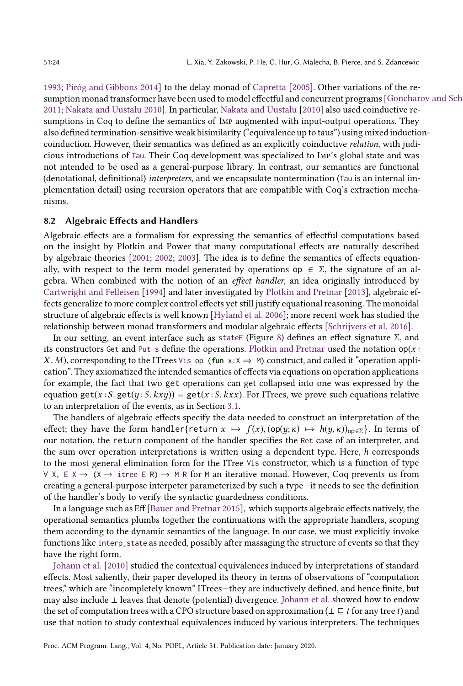[1993](#page-28-7); [Piròg and Gibbons 2014](#page-30-8)] to the delay monad of [Capretta](#page-28-0) [\[2005\]](#page-28-0). Other variations of the resumption monad transformer have been used to model effectful and concurrent programs [Goncharov and Sch [2011;](#page-29-15) [Nakata and Uustalu 2010\]](#page-30-16). In particular, [Nakata and Uustalu](#page-30-16) [\[2010](#page-30-16)] also used coinductive resumptions in Coq to define the semantics of Imp augmented with input-output operations. They also defined termination-sensitive weak bisimilarity ("equivalence up to taus") using mixed inductioncoinduction. However, their semantics was defined as an explicitly coinductive relation, with judicious introductions of Tau. Their Coq development was specialized to Imp's global state and was not intended to be used as a general-purpose library. In contrast, our semantics are functional (denotational, definitional) interpreters, and we encapsulate nontermination (Tau is an internal implementation detail) using recursion operators that are compatible with Coq's extraction mechanisms.

# 8.2 Algebraic Effects and Handlers

Algebraic effects are a formalism for expressing the semantics of effectful computations based on the insight by Plotkin and Power that many computational effects are naturally described by algebraic theories [\[2001](#page-30-17); [2002](#page-30-18); [2003\]](#page-31-4). The idea is to define the semantics of effects equationally, with respect to the term model generated by operations op  $\in \Sigma$ , the signature of an algebra. When combined with the notion of an effect handler, an idea originally introduced by [Cartwright and Felleisen](#page-28-8) [\[1994\]](#page-28-8) and later investigated by [Plotkin and Pretnar](#page-31-7) [\[2013\]](#page-31-7), algebraic effects generalize to more complex control effects yet still justify equational reasoning. The monoidal structure of algebraic effects is well known [\[Hyland et al. 2006](#page-29-16)]; more recent work has studied the relationship between monad transformers and modular algebraic effects [\[Schrijvers et al. 2016](#page-31-8)].

In our setting, an event interface such as state [Figure [8\)](#page-9-0) defines an effect signature Σ, and its constructors Get and Put s define the operations. [Plotkin and Pretnar](#page-31-7) used the notation  $op(x)$ : X. M), corresponding to the ITrees Vis op (**fun**  $x: X \Rightarrow M$ ) construct, and called it "operation application". They axiomatized the intended semantics of effects via equations on operation applications for example, the fact that two get operations can get collapsed into one was expressed by the equation get(x: S. get(y: S. kxy)) = get(x: S. kxx). For ITrees, we prove such equations relative to an interpretation of the events, as in Section [3.1.](#page-8-2)

The handlers of algebraic effects specify the data needed to construct an interpretation of the effect; they have the form handler{return  $x \mapsto f(x)$ ,  $(\text{op}(y; \kappa) \mapsto h(y, \kappa))_{\text{op}\in \Sigma}$ }. In terms of our notation, the return component of the handler specifies the Ret case of an interpreter, and the sum over operation interpretations is written using a dependent type. Here,  $h$  corresponds to the most general elimination form for the ITree Vis constructor, which is a function of type  $\forall$  X, E X → (X → itree E R) → M R for M an iterative monad. However, Coq prevents us from creating a general-purpose interpeter parameterized by such a type—it needs to see the definition of the handler's body to verify the syntactic guardedness conditions.

In a language such as Eff [\[Bauer and Pretnar 2015](#page-28-9)], which supports algebraic effects natively, the operational semantics plumbs together the continuations with the appropriate handlers, scoping them according to the dynamic semantics of the language. In our case, we must explicitly invoke functions like interp\_state as needed, possibly after massaging the structure of events so that they have the right form.

[Johann et al.](#page-29-12) [\[2010](#page-29-12)] studied the contextual equivalences induced by interpretations of standard effects. Most saliently, their paper developed its theory in terms of observations of "computation trees," which are "incompletely known" ITrees—they are inductively defined, and hence finite, but may also include ⊥ leaves that denote (potential) divergence. [Johann et al.](#page-29-12) showed how to endow the set of computation trees with a CPO structure based on approximation ( $\bot \sqsubseteq t$  for any tree t) and use that notion to study contextual equivalences induced by various interpreters. The techniques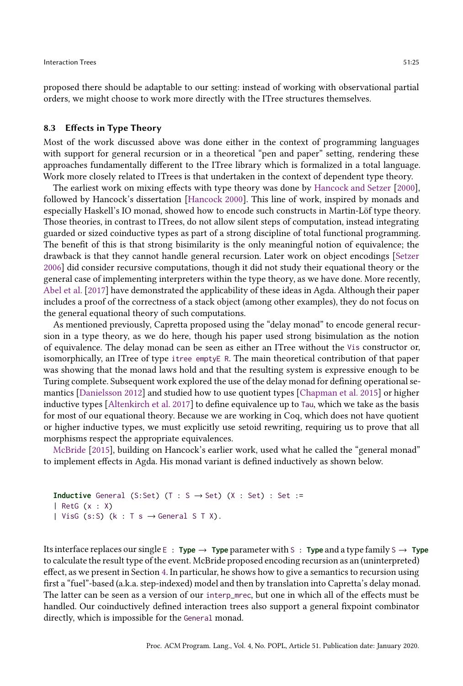proposed there should be adaptable to our setting: instead of working with observational partial orders, we might choose to work more directly with the ITree structures themselves.

#### 8.3 Effects in Type Theory

Most of the work discussed above was done either in the context of programming languages with support for general recursion or in a theoretical "pen and paper" setting, rendering these approaches fundamentally different to the ITree library which is formalized in a total language. Work more closely related to ITrees is that undertaken in the context of dependent type theory.

The earliest work on mixing effects with type theory was done by [Hancock and Setzer](#page-29-4) [\[2000\]](#page-29-4), followed by Hancock's dissertation [\[Hancock 2000](#page-29-17)]. This line of work, inspired by monads and especially Haskell's IO monad, showed how to encode such constructs in Martin-Löf type theory. Those theories, in contrast to ITrees, do not allow silent steps of computation, instead integrating guarded or sized coinductive types as part of a strong discipline of total functional programming. The benefit of this is that strong bisimilarity is the only meaningful notion of equivalence; the drawback is that they cannot handle general recursion. Later work on object encodings [\[Setzer](#page-31-9) [2006\]](#page-31-9) did consider recursive computations, though it did not study their equational theory or the general case of implementing interpreters within the type theory, as we have done. More recently, [Abel et al.](#page-28-10) [\[2017\]](#page-28-10) have demonstrated the applicability of these ideas in Agda. Although their paper includes a proof of the correctness of a stack object (among other examples), they do not focus on the general equational theory of such computations.

As mentioned previously, Capretta proposed using the "delay monad" to encode general recursion in a type theory, as we do here, though his paper used strong bisimulation as the notion of equivalence. The delay monad can be seen as either an ITree without the Vis constructor or, isomorphically, an ITree of type itree emptyE R. The main theoretical contribution of that paper was showing that the monad laws hold and that the resulting system is expressive enough to be Turing complete. Subsequent work explored the use of the delay monad for defining operational semantics [\[Danielsson 2012](#page-28-11)] and studied how to use quotient types [\[Chapman et al. 2015\]](#page-28-12) or higher inductive types [\[Altenkirch et al. 2017\]](#page-28-13) to define equivalence up to Tau, which we take as the basis for most of our equational theory. Because we are working in Coq, which does not have quotient or higher inductive types, we must explicitly use setoid rewriting, requiring us to prove that all morphisms respect the appropriate equivalences.

[McBride](#page-30-7) [\[2015\]](#page-30-7), building on Hancock's earlier work, used what he called the "general monad" to implement effects in Agda. His monad variant is defined inductively as shown below.

```
Inductive General (S:Set) (T : S \rightarrow Set) (X : Set) : Set :=
| RetG (x : X)
| VisG (s:S) (k : T s \rightarrow General S T X).
```
Its interface replaces our single  $E : Type \rightarrow Type$  parameter with S : **Type** and a type family S  $\rightarrow$  **Type** to calculate the result type of the event. McBride proposed encoding recursion as an (uninterpreted) effect, as we present in Section [4.](#page-11-0) In particular, he shows how to give a semantics to recursion using first a "fuel"-based (a.k.a. step-indexed) model and then by translation into Capretta's delay monad. The latter can be seen as a version of our interp\_mrec, but one in which all of the effects must be handled. Our coinductively defined interaction trees also support a general fixpoint combinator directly, which is impossible for the General monad.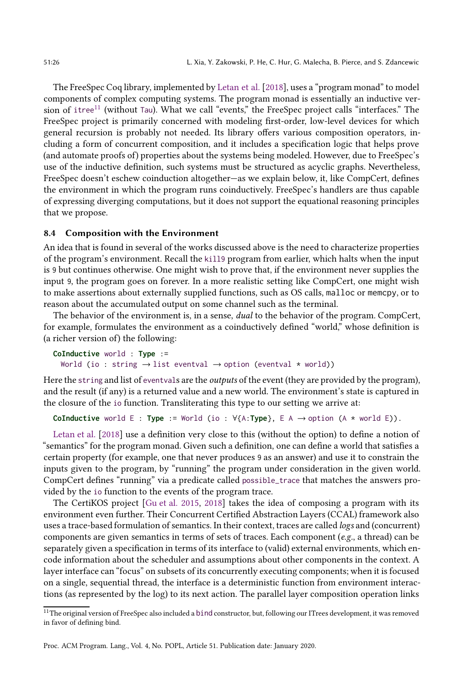The FreeSpec Coq library, implemented by [Letan et al.](#page-30-6) [\[2018](#page-30-6)], uses a "program monad" to model components of complex computing systems. The program monad is essentially an inductive ver-sion of itree<sup>[11](#page-25-0)</sup> (without Tau). What we call "events," the FreeSpec project calls "interfaces." The FreeSpec project is primarily concerned with modeling first-order, low-level devices for which general recursion is probably not needed. Its library offers various composition operators, including a form of concurrent composition, and it includes a specification logic that helps prove (and automate proofs of) properties about the systems being modeled. However, due to FreeSpec's use of the inductive definition, such systems must be structured as acyclic graphs. Nevertheless, FreeSpec doesn't eschew coinduction altogether—as we explain below, it, like CompCert, defines the environment in which the program runs coinductively. FreeSpec's handlers are thus capable of expressing diverging computations, but it does not support the equational reasoning principles that we propose.

#### 8.4 Composition with the Environment

An idea that is found in several of the works discussed above is the need to characterize properties of the program's environment. Recall the kill9 program from earlier, which halts when the input is 9 but continues otherwise. One might wish to prove that, if the environment never supplies the input 9, the program goes on forever. In a more realistic setting like CompCert, one might wish to make assertions about externally supplied functions, such as OS calls, malloc or memcpy, or to reason about the accumulated output on some channel such as the terminal.

The behavior of the environment is, in a sense, *dual* to the behavior of the program. CompCert, for example, formulates the environment as a coinductively defined "world," whose definition is (a richer version of) the following:

```
CoInductive world : Type :=
  World (io : string \rightarrow list eventval \rightarrow option (eventval * world))
```
Here the string and list of eventvals are the *outputs* of the event (they are provided by the program), and the result (if any) is a returned value and a new world. The environment's state is captured in the closure of the io function. Transliterating this type to our setting we arrive at:

```
CoInductive world E : Type := World (io : V{A:Type}, E A \rightarrow option (A * world E)).
```
[Letan et al.](#page-30-6) [\[2018\]](#page-30-6) use a definition very close to this (without the option) to define a notion of "semantics" for the program monad. Given such a definition, one can define a world that satisfies a certain property (for example, one that never produces 9 as an answer) and use it to constrain the inputs given to the program, by "running" the program under consideration in the given world. CompCert defines "running" via a predicate called possible\_trace that matches the answers provided by the io function to the events of the program trace.

The CertiKOS project [\[Gu et al. 2015,](#page-29-18) [2018](#page-29-19)] takes the idea of composing a program with its environment even further. Their Concurrent Certified Abstraction Layers (CCAL) framework also uses a trace-based formulation of semantics. In their context, traces are called logs and (concurrent) components are given semantics in terms of sets of traces. Each component (e.g., a thread) can be separately given a specification in terms of its interface to (valid) external environments, which encode information about the scheduler and assumptions about other components in the context. A layer interface can "focus" on subsets of its concurrently executing components; when it is focused on a single, sequential thread, the interface is a deterministic function from environment interactions (as represented by the log) to its next action. The parallel layer composition operation links

<span id="page-25-0"></span> $^{11}{\rm The}$  original version of FreeSpec also included a b1nd constructor, but, following our ITrees development, it was removed in favor of defining bind.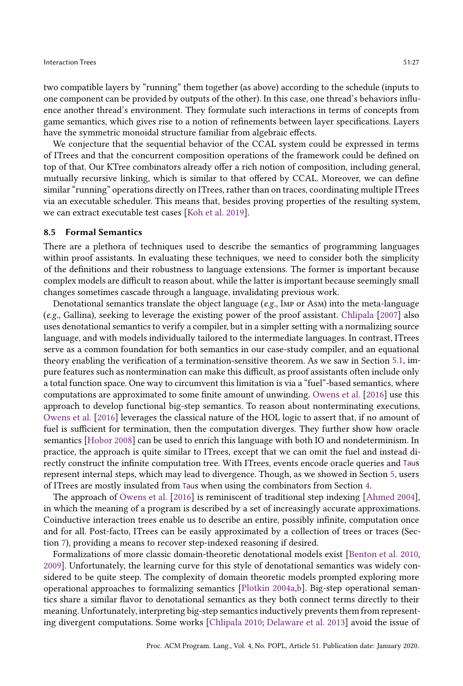two compatible layers by "running" them together (as above) according to the schedule (inputs to one component can be provided by outputs of the other). In this case, one thread's behaviors influence another thread's environment. They formulate such interactions in terms of concepts from game semantics, which gives rise to a notion of refinements between layer specifications. Layers have the symmetric monoidal structure familiar from algebraic effects.

We conjecture that the sequential behavior of the CCAL system could be expressed in terms of ITrees and that the concurrent composition operations of the framework could be defined on top of that. Our KTree combinators already offer a rich notion of composition, including general, mutually recursive linking, which is similar to that offered by CCAL. Moreover, we can define similar "running" operations directly on ITrees, rather than on traces, coordinating multiple ITrees via an executable scheduler. This means that, besides proving properties of the resulting system, we can extract executable test cases [\[Koh et al. 2019](#page-29-2)].

#### <span id="page-26-0"></span>8.5 Formal Semantics

There are a plethora of techniques used to describe the semantics of programming languages within proof assistants. In evaluating these techniques, we need to consider both the simplicity of the definitions and their robustness to language extensions. The former is important because complex models are difficult to reason about, while the latter is important because seemingly small changes sometimes cascade through a language, invalidating previous work.

Denotational semantics translate the object language  $(e.g., \text{Imp or AsM})$  into the meta-language (e.g., Gallina), seeking to leverage the existing power of the proof assistant. [Chlipala](#page-28-14) [\[2007\]](#page-28-14) also uses denotational semantics to verify a compiler, but in a simpler setting with a normalizing source language, and with models individually tailored to the intermediate languages. In contrast, ITrees serve as a common foundation for both semantics in our case-study compiler, and an equational theory enabling the verification of a termination-sensitive theorem. As we saw in Section [5.1,](#page-14-0) impure features such as nontermination can make this difficult, as proof assistants often include only a total function space. One way to circumvent this limitation is via a "fuel"-based semantics, where computations are approximated to some finite amount of unwinding. [Owens et al.](#page-30-19) [\[2016](#page-30-19)] use this approach to develop functional big-step semantics. To reason about nonterminating executions, [Owens et al.](#page-30-19) [\[2016\]](#page-30-19) leverages the classical nature of the HOL logic to assert that, if no amount of fuel is sufficient for termination, then the computation diverges. They further show how oracle semantics [\[Hobor 2008\]](#page-29-20) can be used to enrich this language with both IO and nondeterminism. In practice, the approach is quite similar to ITrees, except that we can omit the fuel and instead directly construct the infinite computation tree. With ITrees, events encode oracle queries and Taus represent internal steps, which may lead to divergence. Though, as we showed in Section [5,](#page-13-0) users of ITrees are mostly insulated from Taus when using the combinators from Section [4.](#page-11-0)

The approach of [Owens et al.](#page-30-19) [\[2016\]](#page-30-19) is reminiscent of traditional step indexing [\[Ahmed 2004\]](#page-28-15), in which the meaning of a program is described by a set of increasingly accurate approximations. Coinductive interaction trees enable us to describe an entire, possibly infinite, computation once and for all. Post-facto, ITrees can be easily approximated by a collection of trees or traces (Section [7\)](#page-20-0), providing a means to recover step-indexed reasoning if desired.

Formalizations of more classic domain-theoretic denotational models exist [\[Benton et al. 2010](#page-28-16), [2009\]](#page-28-17). Unfortunately, the learning curve for this style of denotational semantics was widely considered to be quite steep. The complexity of domain theoretic models prompted exploring more operational approaches to formalizing semantics [\[Plotkin 2004a](#page-31-10)[,b\]](#page-31-11). Big-step operational semantics share a similar flavor to denotational semantics as they both connect terms directly to their meaning. Unfortunately, interpreting big-step semantics inductively prevents them from representing divergent computations. Some works [\[Chlipala 2010](#page-28-18); [Delaware et al. 2013](#page-28-19)] avoid the issue of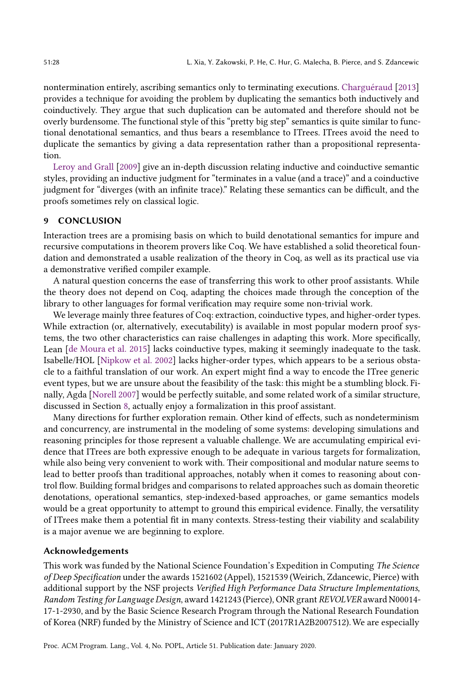nontermination entirely, ascribing semantics only to terminating executions. [Charguéraud](#page-28-20) [\[2013\]](#page-28-20) provides a technique for avoiding the problem by duplicating the semantics both inductively and coinductively. They argue that such duplication can be automated and therefore should not be overly burdensome. The functional style of this "pretty big step" semantics is quite similar to functional denotational semantics, and thus bears a resemblance to ITrees. ITrees avoid the need to duplicate the semantics by giving a data representation rather than a propositional representation.

[Leroy and Grall](#page-30-20) [\[2009](#page-30-20)] give an in-depth discussion relating inductive and coinductive semantic styles, providing an inductive judgment for "terminates in a value (and a trace)" and a coinductive judgment for "diverges (with an infinite trace)." Relating these semantics can be difficult, and the proofs sometimes rely on classical logic.

# <span id="page-27-0"></span>9 CONCLUSION

Interaction trees are a promising basis on which to build denotational semantics for impure and recursive computations in theorem provers like Coq. We have established a solid theoretical foundation and demonstrated a usable realization of the theory in Coq, as well as its practical use via a demonstrative verified compiler example.

A natural question concerns the ease of transferring this work to other proof assistants. While the theory does not depend on Coq, adapting the choices made through the conception of the library to other languages for formal verification may require some non-trivial work.

We leverage mainly three features of Coq: extraction, coinductive types, and higher-order types. While extraction (or, alternatively, executability) is available in most popular modern proof systems, the two other characteristics can raise challenges in adapting this work. More specifically, Lean [\[de Moura et al. 2015\]](#page-28-21) lacks coinductive types, making it seemingly inadequate to the task. Isabelle/HOL [\[Nipkow et al. 2002](#page-30-21)] lacks higher-order types, which appears to be a serious obstacle to a faithful translation of our work. An expert might find a way to encode the ITree generic event types, but we are unsure about the feasibility of the task: this might be a stumbling block. Finally, Agda [\[Norell 2007\]](#page-30-22) would be perfectly suitable, and some related work of a similar structure, discussed in Section [8,](#page-22-0) actually enjoy a formalization in this proof assistant.

Many directions for further exploration remain. Other kind of effects, such as nondeterminism and concurrency, are instrumental in the modeling of some systems: developing simulations and reasoning principles for those represent a valuable challenge. We are accumulating empirical evidence that ITrees are both expressive enough to be adequate in various targets for formalization, while also being very convenient to work with. Their compositional and modular nature seems to lead to better proofs than traditional approaches, notably when it comes to reasoning about control flow. Building formal bridges and comparisons to related approaches such as domain theoretic denotations, operational semantics, step-indexed-based approaches, or game semantics models would be a great opportunity to attempt to ground this empirical evidence. Finally, the versatility of ITrees make them a potential fit in many contexts. Stress-testing their viability and scalability is a major avenue we are beginning to explore.

#### Acknowledgements

This work was funded by the National Science Foundation's Expedition in Computing The Science of Deep Specification under the awards 1521602 (Appel), 1521539 (Weirich, Zdancewic, Pierce) with additional support by the NSF projects Verified High Performance Data Structure Implementations, Random Testing for Language Design, award 1421243(Pierce), ONR grant REVOLVER award N00014- 17-1-2930, and by the Basic Science Research Program through the National Research Foundation of Korea (NRF) funded by the Ministry of Science and ICT (2017R1A2B2007512).We are especially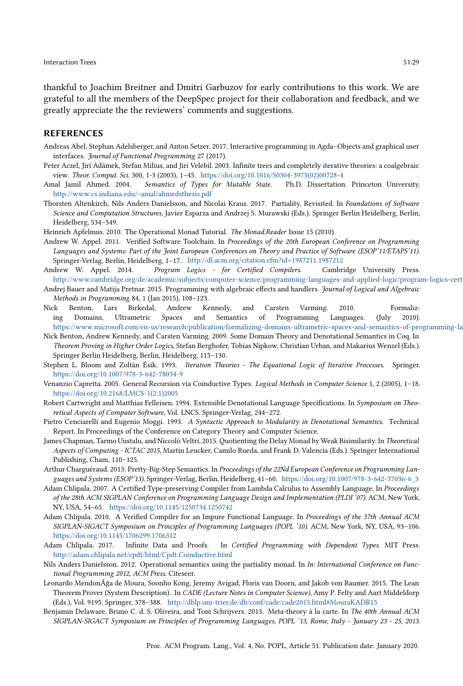thankful to Joachim Breitner and Dmitri Garbuzov for early contributions to this work. We are grateful to all the members of the DeepSpec project for their collaboration and feedback, and we greatly appreciate the the reviewers' comments and suggestions.

### **REFERENCES**

- <span id="page-28-10"></span>Andreas Abel, Stephan Adelsberger, and Anton Setzer. 2017. Interactive programming in Agda–Objects and graphical user interfaces. Journal of Functional Programming 27 (2017).
- <span id="page-28-6"></span>Peter Aczel, Jirí Adámek, Stefan Milius, and Jiri Velebil. 2003. Infinite trees and completely iterative theories: a coalgebraic view. Theor. Comput. Sci. 300, 1-3 (2003), 1–45. [https://doi.org/10.1016/S0304-3975\(02\)00728-4](https://doi.org/10.1016/S0304-3975(02)00728-4)
- <span id="page-28-15"></span>Amal Jamil Ahmed. 2004. Semantics of Types for Mutable State. Ph.D. Dissertation. Princeton University. <http://www.cs.indiana.edu/~amal/ahmedsthesis.pdf>
- <span id="page-28-13"></span>Thorsten Altenkirch, Nils Anders Danielsson, and Nicolai Kraus. 2017. Partiality, Revisited. In Foundations of Software Science and Computation Structures, Javier Esparza and Andrzej S. Murawski (Eds.). Springer Berlin Heidelberg, Berlin, Heidelberg, 534–549.
- <span id="page-28-5"></span>Heinrich Apfelmus. 2010. The Operational Monad Tutorial. The Monad.Reader Issue 15 (2010).
- <span id="page-28-3"></span>Andrew W. Appel. 2011. Verified Software Toolchain. In Proceedings of the 20th European Conference on Programming Languages and Systems: Part of the Joint European Conferences on Theory and Practice of Software (ESOP'11/ETAPS'11). Springer-Verlag, Berlin, Heidelberg, 1–17. <http://dl.acm.org/citation.cfm?id=1987211.1987212>
- <span id="page-28-4"></span>Andrew W. Appel. 2014. Program Logics - for Certified Compilers. Cambridge University Press. http://www.cambridge.org/de/academic/subjects/computer-science/programming-languages-and-applied-logic/program-logics-cert
- <span id="page-28-9"></span>Andrej Bauer and Matija Pretnar. 2015. Programming with algebraic effects and handlers. Journal of Logical and Algebraic Methods in Programming 84, 1 (Jan 2015), 108–123.
- <span id="page-28-16"></span>Nick Benton, Lars Birkedal, Andrew Kennedy, and Carsten Varming. 2010. Formalizing Domains, Ultrametric Spaces and Semantics of Programming Languages. (July 2010). <https://www.microsoft.com/en-us/research/publication/formalizing-domains-ultrametric-spaces-and-semantics-of-programming-languages/>
- <span id="page-28-17"></span>Nick Benton, Andrew Kennedy, and Carsten Varming. 2009. Some Domain Theory and Denotational Semantics in Coq. In Theorem Proving in Higher Order Logics, Stefan Berghofer, Tobias Nipkow, Christian Urban, and Makarius Wenzel (Eds.). Springer Berlin Heidelberg, Berlin, Heidelberg, 115–130.
- <span id="page-28-1"></span>Stephen L. Bloom and Zoltán Ésik. 1993. Iteration Theories - The Equational Logic of Iterative Processes. Springer. <https://doi.org/10.1007/978-3-642-78034-9>
- <span id="page-28-0"></span>Venanzio Capretta. 2005. General Recursion via Coinductive Types. Logical Methods in Computer Science 1, 2 (2005), 1–18. [https://doi.org/10.2168/LMCS-1\(2:1\)2005](https://doi.org/10.2168/LMCS-1(2:1)2005)
- <span id="page-28-8"></span>Robert Cartwright and Matthias Felleisen. 1994. Extensible Denotational Language Specifications. In Symposium on Theoretical Aspects of Computer Software, Vol. LNCS. Springer-Verlag, 244–272.
- <span id="page-28-7"></span>Pietro Cenciarelli and Eugenio Moggi. 1993. A Syntactic Approach to Modularity in Denotational Semantics. Technical Report. In Proceedings of the Conference on Category Theory and Computer Science.
- <span id="page-28-12"></span>James Chapman, Tarmo Uustalu, and Niccolò Veltri. 2015. Quotienting the Delay Monad by Weak Bisimilarity. In Theoretical Aspects of Computing - ICTAC 2015, Martin Leucker, Camilo Rueda, and Frank D. Valencia (Eds.). Springer International Publishing, Cham, 110–125.
- <span id="page-28-20"></span>Arthur Charguéraud. 2013. Pretty-Big-Step Semantics. In Proceedings of the 22Nd European Conference on Programming Languages and Systems (ESOP'13). Springer-Verlag, Berlin, Heidelberg, 41–60. [https://doi.org/10.1007/978-3-642-37036-6\\_3](https://doi.org/10.1007/978-3-642-37036-6_3)
- <span id="page-28-14"></span>Adam Chlipala. 2007. A Certified Type-preserving Compiler from Lambda Calculus to Assembly Language. In Proceedings of the 28th ACM SIGPLAN Conference on Programming Language Design and Implementation (PLDI '07). ACM, New York, NY, USA, 54–65. <https://doi.org/10.1145/1250734.1250742>
- <span id="page-28-18"></span>Adam Chlipala. 2010. A Verified Compiler for an Impure Functional Language. In Proceedings of the 37th Annual ACM SIGPLAN-SIGACT Symposium on Principles of Programming Languages (POPL '10). ACM, New York, NY, USA, 93–106. <https://doi.org/10.1145/1706299.1706312>
- <span id="page-28-2"></span>Adam Chlipala. 2017. Infinite Data and Proofs. In Certified Programming with Dependent Types. MIT Press. <http://adam.chlipala.net/cpdt/html/Cpdt.Coinductive.html>
- <span id="page-28-11"></span>Nils Anders Danielsson. 2012. Operational semantics using the partiality monad. In In: International Conference on Functional Programming 2012, ACM Press. Citeseer.
- <span id="page-28-21"></span>Leonardo MendonÃğa de Moura, Soonho Kong, Jeremy Avigad, Floris van Doorn, and Jakob von Raumer. 2015. The Lean Theorem Prover (System Description).. In CADE (Lecture Notes in Computer Science), Amy P. Felty and Aart Middeldorp (Eds.), Vol. 9195. Springer, 378–388. <http://dblp.uni-trier.de/db/conf/cade/cade2015.html#MouraKADR15>
- <span id="page-28-19"></span>Benjamin Delaware, Bruno C. d. S. Oliveira, and Tom Schrijvers. 2013. Meta-theory à la carte. In The 40th Annual ACM SIGPLAN-SIGACT Symposium on Principles of Programming Languages, POPL '13, Rome, Italy - January 23 - 25, 2013.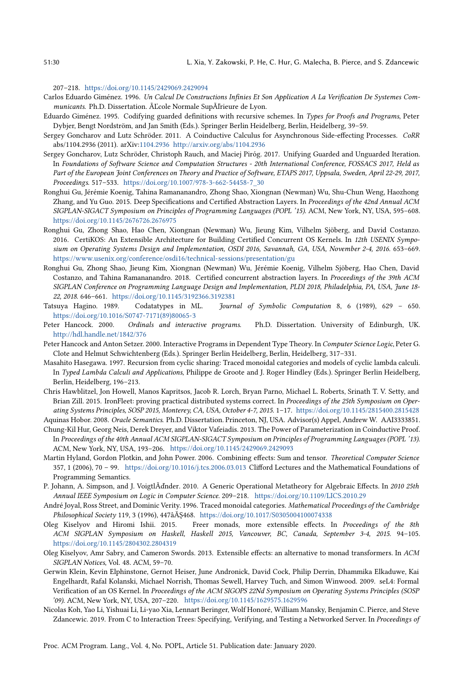207–218. <https://doi.org/10.1145/2429069.2429094>

- <span id="page-29-8"></span>Carlos Eduardo Giménez. 1996. Un Calcul De Constructions Infinies Et Son Application A La Verification De Systemes Communicants. Ph.D. Dissertation. ÃĽcole Normale SupÃľrieure de Lyon.
- <span id="page-29-7"></span>Eduardo Giménez. 1995. Codifying guarded definitions with recursive schemes. In Types for Proofs and Programs, Peter Dybjer, Bengt Nordström, and Jan Smith (Eds.). Springer Berlin Heidelberg, Berlin, Heidelberg, 39–59.
- <span id="page-29-15"></span>Sergey Goncharov and Lutz Schröder. 2011. A Coinductive Calculus for Asynchronous Side-effecting Processes. CoRR abs/1104.2936 (2011). arXiv[:1104.2936 http://arxiv.org/abs/1104.2936](http://arxiv.org/abs/1104.2936)
- <span id="page-29-14"></span>Sergey Goncharov, Lutz Schröder, Christoph Rauch, and Maciej Piróg. 2017. Unifying Guarded and Unguarded Iteration. In Foundations of Software Science and Computation Structures - 20th International Conference, FOSSACS 2017, Held as Part of the European Joint Conferences on Theory and Practice of Software, ETAPS 2017, Uppsala, Sweden, April 22-29, 2017, Proceedings. 517–533. [https://doi.org/10.1007/978-3-662-54458-7\\_30](https://doi.org/10.1007/978-3-662-54458-7_30)
- <span id="page-29-18"></span>Ronghui Gu, Jérémie Koenig, Tahina Ramananandro, Zhong Shao, Xiongnan (Newman) Wu, Shu-Chun Weng, Haozhong Zhang, and Yu Guo. 2015. Deep Specifications and Certified Abstraction Layers. In Proceedings of the 42nd Annual ACM SIGPLAN-SIGACT Symposium on Principles of Programming Languages (POPL '15). ACM, New York, NY, USA, 595–608. <https://doi.org/10.1145/2676726.2676975>
- <span id="page-29-0"></span>Ronghui Gu, Zhong Shao, Hao Chen, Xiongnan (Newman) Wu, Jieung Kim, Vilhelm Sjöberg, and David Costanzo. 2016. CertiKOS: An Extensible Architecture for Building Certified Concurrent OS Kernels. In 12th USENIX Symposium on Operating Systems Design and Implementation, OSDI 2016, Savannah, GA, USA, November 2-4, 2016. 653–669. <https://www.usenix.org/conference/osdi16/technical-sessions/presentation/gu>
- <span id="page-29-19"></span>Ronghui Gu, Zhong Shao, Jieung Kim, Xiongnan (Newman) Wu, Jérémie Koenig, Vilhelm Sjöberg, Hao Chen, David Costanzo, and Tahina Ramananandro. 2018. Certified concurrent abstraction layers. In Proceedings of the 39th ACM SIGPLAN Conference on Programming Language Design and Implementation, PLDI 2018, Philadelphia, PA, USA, June 18- 22, 2018. 646–661. <https://doi.org/10.1145/3192366.3192381>
- <span id="page-29-9"></span>Tatsuya Hagino. 1989. Codatatypes in ML. Journal of Symbolic Computation 8, 6 (1989), 629 – 650. [https://doi.org/10.1016/S0747-7171\(89\)80065-3](https://doi.org/10.1016/S0747-7171(89)80065-3)
- <span id="page-29-17"></span>Peter Hancock. 2000. Ordinals and interactive programs. Ph.D. Dissertation. University of Edinburgh, UK. <http://hdl.handle.net/1842/376>
- <span id="page-29-4"></span>Peter Hancock and Anton Setzer. 2000. Interactive Programs in Dependent Type Theory. In Computer Science Logic, Peter G. Clote and Helmut Schwichtenberg (Eds.). Springer Berlin Heidelberg, Berlin, Heidelberg, 317–331.
- <span id="page-29-10"></span>Masahito Hasegawa. 1997. Recursion from cyclic sharing: Traced monoidal categories and models of cyclic lambda calculi. In Typed Lambda Calculi and Applications, Philippe de Groote and J. Roger Hindley (Eds.). Springer Berlin Heidelberg, Berlin, Heidelberg, 196–213.
- <span id="page-29-3"></span>Chris Hawblitzel, Jon Howell, Manos Kapritsos, Jacob R. Lorch, Bryan Parno, Michael L. Roberts, Srinath T. V. Setty, and Brian Zill. 2015. IronFleet: proving practical distributed systems correct. In Proceedings of the 25th Symposium on Operating Systems Principles, SOSP 2015, Monterey, CA, USA, October 4-7, 2015. 1–17. <https://doi.org/10.1145/2815400.2815428>

<span id="page-29-20"></span>Aquinas Hobor. 2008. Oracle Semantics. Ph.D. Dissertation. Princeton, NJ, USA. Advisor(s) Appel, Andrew W. AAI3333851.

- <span id="page-29-6"></span>Chung-Kil Hur, Georg Neis, Derek Dreyer, and Viktor Vafeiadis. 2013. The Power of Parameterization in Coinductive Proof. In Proceedings of the 40th Annual ACM SIGPLAN-SIGACT Symposium on Principles of Programming Languages (POPL '13). ACM, New York, NY, USA, 193–206. <https://doi.org/10.1145/2429069.2429093>
- <span id="page-29-16"></span>Martin Hyland, Gordon Plotkin, and John Power. 2006. Combining effects: Sum and tensor. Theoretical Computer Science 357, 1 (2006), 70 – 99. <https://doi.org/10.1016/j.tcs.2006.03.013> Clifford Lectures and the Mathematical Foundations of Programming Semantics.
- <span id="page-29-12"></span>P. Johann, A. Simpson, and J. VoigtlÃďnder. 2010. A Generic Operational Metatheory for Algebraic Effects. In 2010 25th Annual IEEE Symposium on Logic in Computer Science. 209–218. <https://doi.org/10.1109/LICS.2010.29>
- <span id="page-29-11"></span>André Joyal, Ross Street, and Dominic Verity. 1996. Traced monoidal categories. Mathematical Proceedings of the Cambridge Philosophical Society 119, 3 (1996), 447âĂŞ468. <https://doi.org/10.1017/S0305004100074338>
- <span id="page-29-5"></span>Oleg Kiselyov and Hiromi Ishii. 2015. Freer monads, more extensible effects. In Proceedings of the 8th ACM SIGPLAN Symposium on Haskell, Haskell 2015, Vancouver, BC, Canada, September 3-4, 2015. 94–105. <https://doi.org/10.1145/2804302.2804319>
- <span id="page-29-13"></span>Oleg Kiselyov, Amr Sabry, and Cameron Swords. 2013. Extensible effects: an alternative to monad transformers. In ACM SIGPLAN Notices, Vol. 48. ACM, 59–70.
- <span id="page-29-1"></span>Gerwin Klein, Kevin Elphinstone, Gernot Heiser, June Andronick, David Cock, Philip Derrin, Dhammika Elkaduwe, Kai Engelhardt, Rafal Kolanski, Michael Norrish, Thomas Sewell, Harvey Tuch, and Simon Winwood. 2009. seL4: Formal Verification of an OS Kernel. In Proceedings of the ACM SIGOPS 22Nd Symposium on Operating Systems Principles (SOSP '09). ACM, New York, NY, USA, 207–220. <https://doi.org/10.1145/1629575.1629596>
- <span id="page-29-2"></span>Nicolas Koh, Yao Li, Yishuai Li, Li-yao Xia, Lennart Beringer, Wolf Honoré, William Mansky, Benjamin C. Pierce, and Steve Zdancewic. 2019. From C to Interaction Trees: Specifying, Verifying, and Testing a Networked Server. In Proceedings of

Proc. ACM Program. Lang., Vol. 4, No. POPL, Article 51. Publication date: January 2020.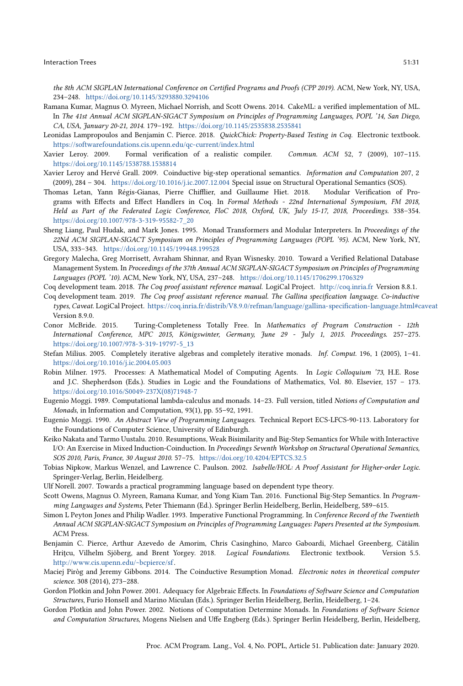the 8th ACM SIGPLAN International Conference on Certified Programs and Proofs (CPP 2019). ACM, New York, NY, USA, 234–248. <https://doi.org/10.1145/3293880.3294106>

- <span id="page-30-0"></span>Ramana Kumar, Magnus O. Myreen, Michael Norrish, and Scott Owens. 2014. CakeML: a verified implementation of ML. In The 41st Annual ACM SIGPLAN-SIGACT Symposium on Principles of Programming Languages, POPL '14, San Diego, CA, USA, January 20-21, 2014. 179–192. <https://doi.org/10.1145/2535838.2535841>
- <span id="page-30-4"></span>Leonidas Lampropoulos and Benjamin C. Pierce. 2018. QuickChick: Property-Based Testing in Coq. Electronic textbook. <https://softwarefoundations.cis.upenn.edu/qc-current/index.html>
- <span id="page-30-1"></span>Xavier Leroy. 2009. Formal verification of a realistic compiler. Commun. ACM 52, 7 (2009), 107–115. <https://doi.org/10.1145/1538788.1538814>
- <span id="page-30-20"></span>Xavier Leroy and Hervé Grall. 2009. Coinductive big-step operational semantics. Information and Computation 207, 2 (2009), 284 – 304. <https://doi.org/10.1016/j.ic.2007.12.004> Special issue on Structural Operational Semantics (SOS).
- <span id="page-30-6"></span>Thomas Letan, Yann Régis-Gianas, Pierre Chifflier, and Guillaume Hiet. 2018. Modular Verification of Programs with Effects and Effect Handlers in Coq. In Formal Methods - 22nd International Symposium, FM 2018, Held as Part of the Federated Logic Conference, FloC 2018, Oxford, UK, July 15-17, 2018, Proceedings. 338–354. [https://doi.org/10.1007/978-3-319-95582-7\\_20](https://doi.org/10.1007/978-3-319-95582-7_20)
- <span id="page-30-13"></span>Sheng Liang, Paul Hudak, and Mark Jones. 1995. Monad Transformers and Modular Interpreters. In Proceedings of the 22Nd ACM SIGPLAN-SIGACT Symposium on Principles of Programming Languages (POPL '95). ACM, New York, NY, USA, 333–343. <https://doi.org/10.1145/199448.199528>
- <span id="page-30-2"></span>Gregory Malecha, Greg Morrisett, Avraham Shinnar, and Ryan Wisnesky. 2010. Toward a Verified Relational Database Management System. In Proceedings of the 37th Annual ACM SIGPLAN-SIGACT Symposium on Principles of Programming Languages (POPL '10). ACM, New York, NY, USA, 237–248. <https://doi.org/10.1145/1706299.1706329>
- <span id="page-30-3"></span>Coq development team. 2018. The Coq proof assistant reference manual. LogiCal Project. <http://coq.inria.fr> Version 8.8.1.
- <span id="page-30-9"></span>Coq development team. 2019. The Coq proof assistant reference manual. The Gallina specification language. Co-inductive types, Caveat. LogiCal Project. <https://coq.inria.fr/distrib/V8.9.0/refman/language/gallina-specification-language.html#caveat> Version 8.9.0.
- <span id="page-30-7"></span>Conor McBride. 2015. Turing-Completeness Totally Free. In Mathematics of Program Construction - 12th International Conference, MPC 2015, Königswinter, Germany, June 29 - July 1, 2015. Proceedings. 257–275. [https://doi.org/10.1007/978-3-319-19797-5\\_13](https://doi.org/10.1007/978-3-319-19797-5_13)
- <span id="page-30-14"></span>Stefan Milius. 2005. Completely iterative algebras and completely iterative monads. Inf. Comput. 196, 1 (2005), 1–41. <https://doi.org/10.1016/j.ic.2004.05.003>
- <span id="page-30-15"></span>Robin Milner. 1975. Processes: A Mathematical Model of Computing Agents. In Logic Colloquium '73, H.E. Rose and J.C. Shepherdson (Eds.). Studies in Logic and the Foundations of Mathematics, Vol. 80. Elsevier, 157 – 173. [https://doi.org/10.1016/S0049-237X\(08\)71948-7](https://doi.org/10.1016/S0049-237X(08)71948-7)
- <span id="page-30-5"></span>Eugenio Moggi. 1989. Computational lambda-calculus and monads. 14–23. Full version, titled Notions of Computation and Monads, in Information and Computation, 93(1), pp. 55–92, 1991.
- <span id="page-30-12"></span>Eugenio Moggi. 1990. An Abstract View of Programming Languages. Technical Report ECS-LFCS-90-113. Laboratory for the Foundations of Computer Science, University of Edinburgh.
- <span id="page-30-16"></span>Keiko Nakata and Tarmo Uustalu. 2010. Resumptions, Weak Bisimilarity and Big-Step Semantics for While with Interactive I/O: An Exercise in Mixed Induction-Coinduction. In Proceedings Seventh Workshop on Structural Operational Semantics, SOS 2010, Paris, France, 30 August 2010. 57–75. <https://doi.org/10.4204/EPTCS.32.5>
- <span id="page-30-21"></span>Tobias Nipkow, Markus Wenzel, and Lawrence C. Paulson. 2002. Isabelle/HOL: A Proof Assistant for Higher-order Logic. Springer-Verlag, Berlin, Heidelberg.
- <span id="page-30-22"></span>Ulf Norell. 2007. Towards a practical programming language based on dependent type theory.
- <span id="page-30-19"></span>Scott Owens, Magnus O. Myreen, Ramana Kumar, and Yong Kiam Tan. 2016. Functional Big-Step Semantics. In Programming Languages and Systems, Peter Thiemann (Ed.). Springer Berlin Heidelberg, Berlin, Heidelberg, 589–615.
- <span id="page-30-11"></span>Simon L Peyton Jones and Philip Wadler. 1993. Imperative Functional Programming. In Conference Record of the Twentieth Annual ACM SIGPLAN-SIGACT Symposium on Principles of Programming Languages: Papers Presented at the Symposium. ACM Press.
- <span id="page-30-10"></span>Benjamin C. Pierce, Arthur Azevedo de Amorim, Chris Casinghino, Marco Gaboardi, Michael Greenberg, Cătălin Hrițcu, Vilhelm Sjöberg, and Brent Yorgey. 2018. Logical Foundations. Electronic textbook. Version 5.5. [http://www.cis.upenn.edu/~bcpierce/sf.](http://www.cis.upenn.edu/~bcpierce/sf)
- <span id="page-30-8"></span>Maciej Piròg and Jeremy Gibbons. 2014. The Coinductive Resumption Monad. Electronic notes in theoretical computer science. 308 (2014), 273–288.
- <span id="page-30-17"></span>Gordon Plotkin and John Power. 2001. Adequacy for Algebraic Effects. In Foundations of Software Science and Computation Structures, Furio Honsell and Marino Miculan (Eds.). Springer Berlin Heidelberg, Berlin, Heidelberg, 1–24.
- <span id="page-30-18"></span>Gordon Plotkin and John Power. 2002. Notions of Computation Determine Monads. In Foundations of Software Science and Computation Structures, Mogens Nielsen and Uffe Engberg (Eds.). Springer Berlin Heidelberg, Berlin, Heidelberg,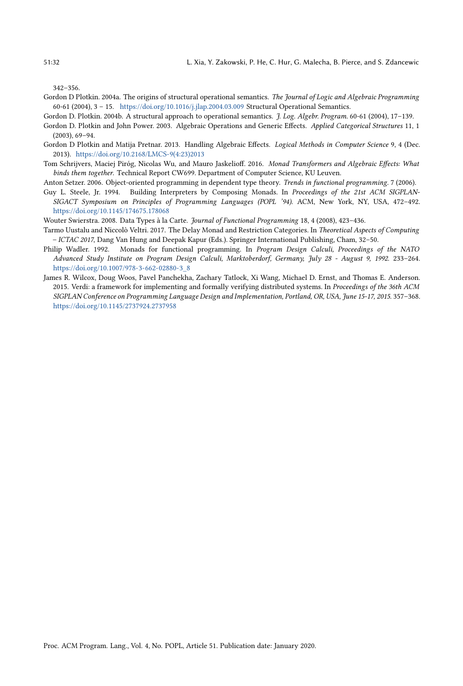<span id="page-31-0"></span>342–356.

- <span id="page-31-10"></span>Gordon D Plotkin. 2004a. The origins of structural operational semantics. The Journal of Logic and Algebraic Programming 60-61 (2004), 3 – 15. <https://doi.org/10.1016/j.jlap.2004.03.009> Structural Operational Semantics.
- <span id="page-31-11"></span>Gordon D. Plotkin. 2004b. A structural approach to operational semantics. J. Log. Algebr. Program. 60-61 (2004), 17–139.
- <span id="page-31-4"></span>Gordon D. Plotkin and John Power. 2003. Algebraic Operations and Generic Effects. Applied Categorical Structures 11, 1 (2003), 69–94.
- <span id="page-31-7"></span>Gordon D Plotkin and Matija Pretnar. 2013. Handling Algebraic Effects. Logical Methods in Computer Science 9, 4 (Dec. 2013). [https://doi.org/10.2168/LMCS-9\(4:23\)2013](https://doi.org/10.2168/LMCS-9(4:23)2013)
- <span id="page-31-8"></span>Tom Schrijvers, Maciej Piróg, Nicolas Wu, and Mauro Jaskelioff. 2016. Monad Transformers and Algebraic Effects: What binds them together. Technical Report CW699. Department of Computer Science, KU Leuven.
- <span id="page-31-9"></span>Anton Setzer. 2006. Object-oriented programming in dependent type theory. Trends in functional programming. 7 (2006).
- <span id="page-31-2"></span>Guy L. Steele, Jr. 1994. Building Interpreters by Composing Monads. In Proceedings of the 21st ACM SIGPLAN-SIGACT Symposium on Principles of Programming Languages (POPL '94). ACM, New York, NY, USA, 472–492. <https://doi.org/10.1145/174675.178068>
- <span id="page-31-3"></span>Wouter Swierstra. 2008. Data Types à la Carte. Journal of Functional Programming 18, 4 (2008), 423–436.
- <span id="page-31-6"></span>Tarmo Uustalu and Niccolò Veltri. 2017. The Delay Monad and Restriction Categories. In Theoretical Aspects of Computing – ICTAC 2017, Dang Van Hung and Deepak Kapur (Eds.). Springer International Publishing, Cham, 32–50.
- <span id="page-31-5"></span>Philip Wadler. 1992. Monads for functional programming. In Program Design Calculi, Proceedings of the NATO Advanced Study Institute on Program Design Calculi, Marktoberdorf, Germany, July 28 - August 9, 1992. 233–264. [https://doi.org/10.1007/978-3-662-02880-3\\_8](https://doi.org/10.1007/978-3-662-02880-3_8)
- <span id="page-31-1"></span>James R. Wilcox, Doug Woos, Pavel Panchekha, Zachary Tatlock, Xi Wang, Michael D. Ernst, and Thomas E. Anderson. 2015. Verdi: a framework for implementing and formally verifying distributed systems. In Proceedings of the 36th ACM SIGPLAN Conference on Programming Language Design and Implementation, Portland, OR, USA, June 15-17, 2015. 357–368. <https://doi.org/10.1145/2737924.2737958>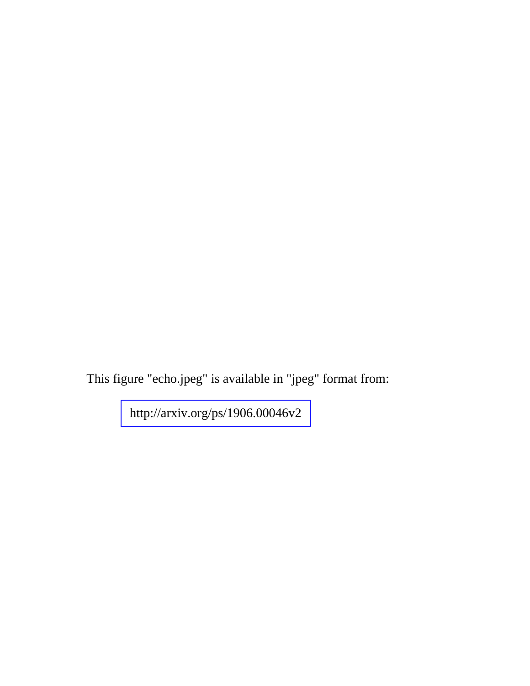This figure "echo.jpeg" is available in "jpeg" format from:

<http://arxiv.org/ps/1906.00046v2>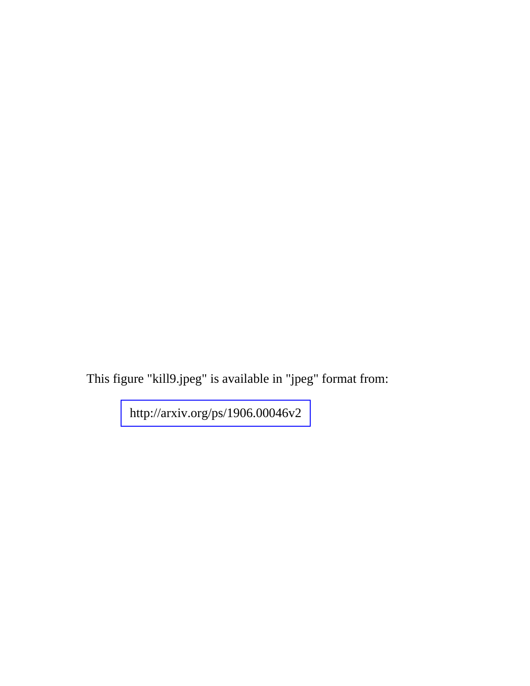This figure "kill9.jpeg" is available in "jpeg" format from:

<http://arxiv.org/ps/1906.00046v2>